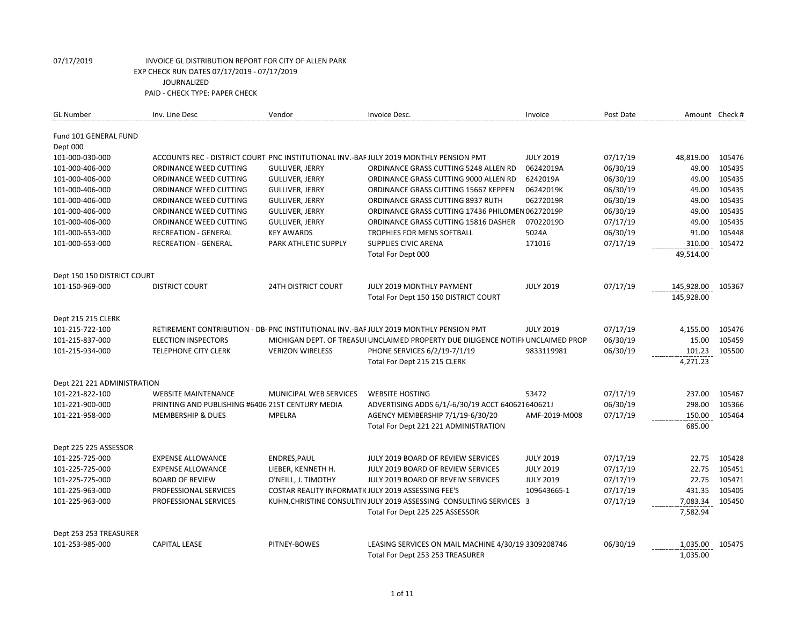| <b>GL Number</b>             | Inv. Line Desc                                   | Vendor                     | Invoice Desc.                                                                          | Invoice          | Post Date |            | Amount Check # |
|------------------------------|--------------------------------------------------|----------------------------|----------------------------------------------------------------------------------------|------------------|-----------|------------|----------------|
| <b>Fund 101 GENERAL FUND</b> |                                                  |                            |                                                                                        |                  |           |            |                |
| Dept 000                     |                                                  |                            |                                                                                        |                  |           |            |                |
| 101-000-030-000              |                                                  |                            | ACCOUNTS REC - DISTRICT COURT PNC INSTITUTIONAL INV.-BAF JULY 2019 MONTHLY PENSION PMT | <b>JULY 2019</b> | 07/17/19  | 48,819.00  | 105476         |
| 101-000-406-000              | ORDINANCE WEED CUTTING                           | <b>GULLIVER, JERRY</b>     | ORDINANCE GRASS CUTTING 5248 ALLEN RD                                                  | 06242019A        | 06/30/19  | 49.00      | 105435         |
| 101-000-406-000              | ORDINANCE WEED CUTTING                           | <b>GULLIVER, JERRY</b>     | ORDINANCE GRASS CUTTING 9000 ALLEN RD                                                  | 6242019A         | 06/30/19  | 49.00      | 105435         |
| 101-000-406-000              | ORDINANCE WEED CUTTING                           | <b>GULLIVER, JERRY</b>     | ORDINANCE GRASS CUTTING 15667 KEPPEN                                                   | 06242019K        | 06/30/19  | 49.00      | 105435         |
| 101-000-406-000              | ORDINANCE WEED CUTTING                           | <b>GULLIVER, JERRY</b>     | ORDINANCE GRASS CUTTING 8937 RUTH                                                      | 06272019R        | 06/30/19  | 49.00      | 105435         |
| 101-000-406-000              | ORDINANCE WEED CUTTING                           | <b>GULLIVER, JERRY</b>     | ORDINANCE GRASS CUTTING 17436 PHILOMEN 06272019P                                       |                  | 06/30/19  | 49.00      | 105435         |
| 101-000-406-000              | ORDINANCE WEED CUTTING                           | <b>GULLIVER, JERRY</b>     | ORDINANCE GRASS CUTTING 15816 DASHER                                                   | 07022019D        | 07/17/19  | 49.00      | 105435         |
| 101-000-653-000              | RECREATION - GENERAL                             | <b>KEY AWARDS</b>          | TROPHIES FOR MENS SOFTBALL                                                             | 5024A            | 06/30/19  | 91.00      | 105448         |
| 101-000-653-000              | <b>RECREATION - GENERAL</b>                      | PARK ATHLETIC SUPPLY       | <b>SUPPLIES CIVIC ARENA</b>                                                            | 171016           | 07/17/19  | 310.00     | 105472         |
|                              |                                                  |                            | Total For Dept 000                                                                     |                  |           | 49,514.00  |                |
|                              |                                                  |                            |                                                                                        |                  |           |            |                |
| Dept 150 150 DISTRICT COURT  |                                                  |                            |                                                                                        |                  |           |            |                |
| 101-150-969-000              | <b>DISTRICT COURT</b>                            | <b>24TH DISTRICT COURT</b> | JULY 2019 MONTHLY PAYMENT                                                              | <b>JULY 2019</b> | 07/17/19  | 145,928.00 | 105367         |
|                              |                                                  |                            | Total For Dept 150 150 DISTRICT COURT                                                  |                  |           | 145,928.00 |                |
|                              |                                                  |                            |                                                                                        |                  |           |            |                |
| <b>Dept 215 215 CLERK</b>    |                                                  |                            |                                                                                        |                  |           |            |                |
| 101-215-722-100              |                                                  |                            | RETIREMENT CONTRIBUTION - DB- PNC INSTITUTIONAL INV.-BAF JULY 2019 MONTHLY PENSION PMT | <b>JULY 2019</b> | 07/17/19  | 4,155.00   | 105476         |
| 101-215-837-000              | <b>ELECTION INSPECTORS</b>                       |                            | MICHIGAN DEPT. OF TREASUI UNCLAIMED PROPERTY DUE DILIGENCE NOTIFI UNCLAIMED PROP       |                  | 06/30/19  | 15.00      | 105459         |
| 101-215-934-000              | <b>TELEPHONE CITY CLERK</b>                      | <b>VERIZON WIRELESS</b>    | PHONE SERVICES 6/2/19-7/1/19                                                           | 9833119981       | 06/30/19  | 101.23     | 105500         |
|                              |                                                  |                            | Total For Dept 215 215 CLERK                                                           |                  |           | 4,271.23   |                |
|                              |                                                  |                            |                                                                                        |                  |           |            |                |
| Dept 221 221 ADMINISTRATION  |                                                  |                            |                                                                                        |                  |           |            |                |
| 101-221-822-100              | <b>WEBSITE MAINTENANCE</b>                       | MUNICIPAL WEB SERVICES     | <b>WEBSITE HOSTING</b>                                                                 | 53472            | 07/17/19  | 237.00     | 105467         |
| 101-221-900-000              | PRINTING AND PUBLISHING #6406 21ST CENTURY MEDIA |                            | ADVERTISING ADDS 6/1/-6/30/19 ACCT 640621640621J                                       |                  | 06/30/19  | 298.00     | 105366         |
| 101-221-958-000              | <b>MEMBERSHIP &amp; DUES</b>                     | <b>MPELRA</b>              | AGENCY MEMBERSHIP 7/1/19-6/30/20                                                       | AMF-2019-M008    | 07/17/19  | 150.00     | 105464         |
|                              |                                                  |                            | Total For Dept 221 221 ADMINISTRATION                                                  |                  |           | 685.00     |                |
|                              |                                                  |                            |                                                                                        |                  |           |            |                |
| Dept 225 225 ASSESSOR        |                                                  |                            |                                                                                        |                  |           |            |                |
| 101-225-725-000              | <b>EXPENSE ALLOWANCE</b>                         | ENDRES, PAUL               | JULY 2019 BOARD OF REVIEW SERVICES                                                     | <b>JULY 2019</b> | 07/17/19  | 22.75      | 105428         |
| 101-225-725-000              | <b>EXPENSE ALLOWANCE</b>                         | LIEBER, KENNETH H.         | JULY 2019 BOARD OF REVIEW SERVICES                                                     | <b>JULY 2019</b> | 07/17/19  | 22.75      | 105451         |
| 101-225-725-000              | <b>BOARD OF REVIEW</b>                           | O'NEILL, J. TIMOTHY        | JULY 2019 BOARD OF REVEIW SERVICES                                                     | <b>JULY 2019</b> | 07/17/19  | 22.75      | 105471         |
| 101-225-963-000              | PROFESSIONAL SERVICES                            |                            | COSTAR REALITY INFORMATI(JULY 2019 ASSESSING FEE'S                                     | 109643665-1      | 07/17/19  | 431.35     | 105405         |
| 101-225-963-000              | PROFESSIONAL SERVICES                            |                            | KUHN, CHRISTINE CONSULTIN JULY 2019 ASSESSING CONSULTING SERVICES 3                    |                  | 07/17/19  | 7,083.34   | 105450         |
|                              |                                                  |                            | Total For Dept 225 225 ASSESSOR                                                        |                  |           | 7,582.94   |                |
|                              |                                                  |                            |                                                                                        |                  |           |            |                |
| Dept 253 253 TREASURER       |                                                  |                            |                                                                                        |                  |           |            |                |
| 101-253-985-000              | <b>CAPITAL LEASE</b>                             | PITNEY-BOWES               | LEASING SERVICES ON MAIL MACHINE 4/30/19 3309208746                                    |                  | 06/30/19  | 1,035.00   | 105475         |
|                              |                                                  |                            | Total For Dept 253 253 TREASURER                                                       |                  |           | 1,035.00   |                |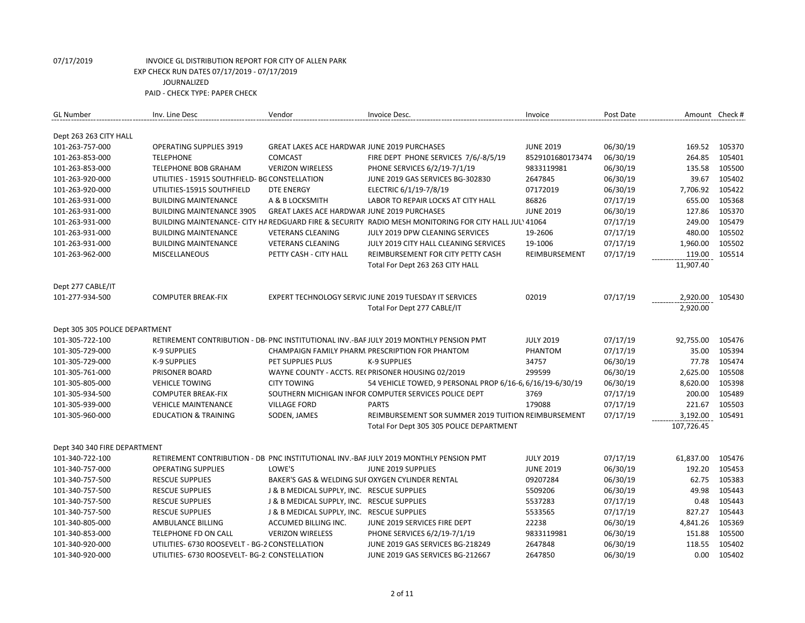| <b>GL Number</b>               | Inv. Line Desc                                 | Vendor                                             | Invoice Desc.                                                                                         | Invoice          | Post Date | Amount Check # |        |
|--------------------------------|------------------------------------------------|----------------------------------------------------|-------------------------------------------------------------------------------------------------------|------------------|-----------|----------------|--------|
| Dept 263 263 CITY HALL         |                                                |                                                    |                                                                                                       |                  |           |                |        |
| 101-263-757-000                | <b>OPERATING SUPPLIES 3919</b>                 | <b>GREAT LAKES ACE HARDWAR JUNE 2019 PURCHASES</b> |                                                                                                       | <b>JUNE 2019</b> | 06/30/19  | 169.52         | 105370 |
| 101-263-853-000                | <b>TELEPHONE</b>                               | COMCAST                                            | FIRE DEPT PHONE SERVICES 7/6/-8/5/19                                                                  | 8529101680173474 | 06/30/19  | 264.85         | 105401 |
| 101-263-853-000                | <b>TELEPHONE BOB GRAHAM</b>                    | <b>VERIZON WIRELESS</b>                            | PHONE SERVICES 6/2/19-7/1/19                                                                          | 9833119981       | 06/30/19  | 135.58         | 105500 |
| 101-263-920-000                | UTILITIES - 15915 SOUTHFIELD- BG CONSTELLATION |                                                    | JUNE 2019 GAS SERVICES BG-302830                                                                      | 2647845          | 06/30/19  | 39.67          | 105402 |
| 101-263-920-000                | UTILITIES-15915 SOUTHFIELD                     | <b>DTE ENERGY</b>                                  | ELECTRIC 6/1/19-7/8/19                                                                                | 07172019         | 06/30/19  | 7,706.92       | 105422 |
| 101-263-931-000                | <b>BUILDING MAINTENANCE</b>                    | A & B LOCKSMITH                                    | LABOR TO REPAIR LOCKS AT CITY HALL                                                                    | 86826            | 07/17/19  | 655.00         | 105368 |
| 101-263-931-000                | <b>BUILDING MAINTENANCE 3905</b>               | GREAT LAKES ACE HARDWAR JUNE 2019 PURCHASES        |                                                                                                       | <b>JUNE 2019</b> | 06/30/19  | 127.86         | 105370 |
| 101-263-931-000                |                                                |                                                    | BUILDING MAINTENANCE- CITY HA REDGUARD FIRE & SECURITY RADIO MESH MONITORING FOR CITY HALL JULY 41064 |                  | 07/17/19  | 249.00         | 105479 |
| 101-263-931-000                | <b>BUILDING MAINTENANCE</b>                    | <b>VETERANS CLEANING</b>                           | JULY 2019 DPW CLEANING SERVICES                                                                       | 19-2606          | 07/17/19  | 480.00         | 105502 |
| 101-263-931-000                | <b>BUILDING MAINTENANCE</b>                    | <b>VETERANS CLEANING</b>                           | JULY 2019 CITY HALL CLEANING SERVICES                                                                 | 19-1006          | 07/17/19  | 1,960.00       | 105502 |
| 101-263-962-000                | MISCELLANEOUS                                  | PETTY CASH - CITY HALL                             | REIMBURSEMENT FOR CITY PETTY CASH                                                                     | REIMBURSEMENT    | 07/17/19  | 119.00         | 105514 |
|                                |                                                |                                                    | Total For Dept 263 263 CITY HALL                                                                      |                  |           | 11,907.40      |        |
|                                |                                                |                                                    |                                                                                                       |                  |           |                |        |
| Dept 277 CABLE/IT              |                                                |                                                    |                                                                                                       |                  |           |                |        |
| 101-277-934-500                | <b>COMPUTER BREAK-FIX</b>                      |                                                    | EXPERT TECHNOLOGY SERVIC JUNE 2019 TUESDAY IT SERVICES                                                | 02019            | 07/17/19  | 2,920.00       | 105430 |
|                                |                                                |                                                    | Total For Dept 277 CABLE/IT                                                                           |                  |           | 2,920.00       |        |
|                                |                                                |                                                    |                                                                                                       |                  |           |                |        |
| Dept 305 305 POLICE DEPARTMENT |                                                |                                                    |                                                                                                       |                  |           |                |        |
| 101-305-722-100                |                                                |                                                    | RETIREMENT CONTRIBUTION - DB- PNC INSTITUTIONAL INV.-BAF JULY 2019 MONTHLY PENSION PMT                | <b>JULY 2019</b> | 07/17/19  | 92,755.00      | 105476 |
| 101-305-729-000                | K-9 SUPPLIES                                   |                                                    | CHAMPAIGN FAMILY PHARM. PRESCRIPTION FOR PHANTOM                                                      | PHANTOM          | 07/17/19  | 35.00          | 105394 |
| 101-305-729-000                | K-9 SUPPLIES                                   | PET SUPPLIES PLUS                                  | K-9 SUPPLIES                                                                                          | 34757            | 06/30/19  | 77.78          | 105474 |
| 101-305-761-000                | PRISONER BOARD                                 |                                                    | WAYNE COUNTY - ACCTS. RECPRISONER HOUSING 02/2019                                                     | 299599           | 06/30/19  | 2,625.00       | 105508 |
| 101-305-805-000                | <b>VEHICLE TOWING</b>                          | <b>CITY TOWING</b>                                 | 54 VEHICLE TOWED, 9 PERSONAL PROP 6/16-6, 6/16/19-6/30/19                                             |                  | 06/30/19  | 8,620.00       | 105398 |
| 101-305-934-500                | <b>COMPUTER BREAK-FIX</b>                      |                                                    | SOUTHERN MICHIGAN INFOR COMPUTER SERVICES POLICE DEPT                                                 | 3769             | 07/17/19  | 200.00         | 105489 |
| 101-305-939-000                | <b>VEHICLE MAINTENANCE</b>                     | <b>VILLAGE FORD</b>                                | <b>PARTS</b>                                                                                          | 179088           | 07/17/19  | 221.67         | 105503 |
| 101-305-960-000                | <b>EDUCATION &amp; TRAINING</b>                | SODEN, JAMES                                       | REIMBURSEMENT SOR SUMMER 2019 TUITION REIMBURSEMENT                                                   |                  | 07/17/19  | 3,192.00       | 105491 |
|                                |                                                |                                                    | Total For Dept 305 305 POLICE DEPARTMENT                                                              |                  |           | 107,726.45     |        |
|                                |                                                |                                                    |                                                                                                       |                  |           |                |        |
| Dept 340 340 FIRE DEPARTMENT   |                                                |                                                    |                                                                                                       |                  |           |                |        |
| 101-340-722-100                |                                                |                                                    | RETIREMENT CONTRIBUTION - DB PNC INSTITUTIONAL INV.-BAF JULY 2019 MONTHLY PENSION PMT                 | <b>JULY 2019</b> | 07/17/19  | 61,837.00      | 105476 |
| 101-340-757-000                | <b>OPERATING SUPPLIES</b>                      | LOWE'S                                             | JUNE 2019 SUPPLIES                                                                                    | <b>JUNE 2019</b> | 06/30/19  | 192.20         | 105453 |
| 101-340-757-500                | <b>RESCUE SUPPLIES</b>                         | BAKER'S GAS & WELDING SUI OXYGEN CYLINDER RENTAL   |                                                                                                       | 09207284         | 06/30/19  | 62.75          | 105383 |
| 101-340-757-500                | <b>RESCUE SUPPLIES</b>                         | J & B MEDICAL SUPPLY, INC. RESCUE SUPPLIES         |                                                                                                       | 5509206          | 06/30/19  | 49.98          | 105443 |
| 101-340-757-500                | <b>RESCUE SUPPLIES</b>                         | J & B MEDICAL SUPPLY, INC. RESCUE SUPPLIES         |                                                                                                       | 5537283          | 07/17/19  | 0.48           | 105443 |
| 101-340-757-500                | <b>RESCUE SUPPLIES</b>                         | J & B MEDICAL SUPPLY, INC. RESCUE SUPPLIES         |                                                                                                       | 5533565          | 07/17/19  | 827.27         | 105443 |
| 101-340-805-000                | AMBULANCE BILLING                              | ACCUMED BILLING INC.                               | JUNE 2019 SERVICES FIRE DEPT                                                                          | 22238            | 06/30/19  | 4,841.26       | 105369 |
| 101-340-853-000                | TELEPHONE FD ON CALL                           | <b>VERIZON WIRELESS</b>                            | PHONE SERVICES 6/2/19-7/1/19                                                                          | 9833119981       | 06/30/19  | 151.88         | 105500 |
| 101-340-920-000                | UTILITIES- 6730 ROOSEVELT - BG-2 CONSTELLATION |                                                    | JUNE 2019 GAS SERVICES BG-218249                                                                      | 2647848          | 06/30/19  | 118.55         | 105402 |
| 101-340-920-000                | UTILITIES- 6730 ROOSEVELT- BG-2: CONSTELLATION |                                                    | JUNE 2019 GAS SERVICES BG-212667                                                                      | 2647850          | 06/30/19  | 0.00           | 105402 |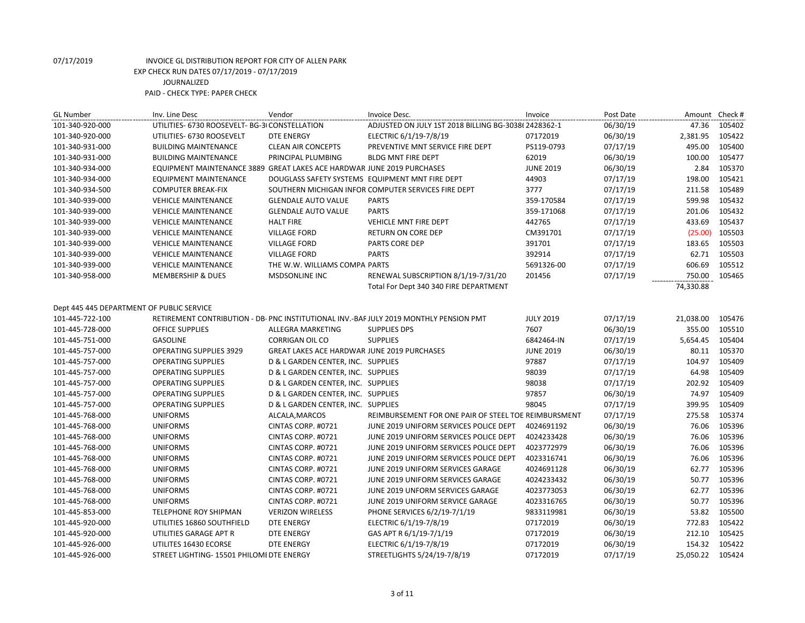| <b>GL Number</b>                          | Inv. Line Desc                                 | Vendor                                             | Invoice Desc.                                                                          | Invoice          | Post Date | Amount    | Check # |
|-------------------------------------------|------------------------------------------------|----------------------------------------------------|----------------------------------------------------------------------------------------|------------------|-----------|-----------|---------|
| 101-340-920-000                           | UTILITIES- 6730 ROOSEVELT- BG-3I CONSTELLATION |                                                    | ADJUSTED ON JULY 1ST 2018 BILLING BG-3038(2428362-1                                    |                  | 06/30/19  | 47.36     | 105402  |
| 101-340-920-000                           | UTILITIES- 6730 ROOSEVELT                      | <b>DTE ENERGY</b>                                  | ELECTRIC 6/1/19-7/8/19                                                                 | 07172019         | 06/30/19  | 2,381.95  | 105422  |
| 101-340-931-000                           | <b>BUILDING MAINTENANCE</b>                    | <b>CLEAN AIR CONCEPTS</b>                          | PREVENTIVE MNT SERVICE FIRE DEPT                                                       | PS119-0793       | 07/17/19  | 495.00    | 105400  |
| 101-340-931-000                           | <b>BUILDING MAINTENANCE</b>                    | PRINCIPAL PLUMBING                                 | <b>BLDG MNT FIRE DEPT</b>                                                              | 62019            | 06/30/19  | 100.00    | 105477  |
| 101-340-934-000                           | <b>EQUIPMENT MAINTENANCE 3889</b>              | <b>GREAT LAKES ACE HARDWAR JUNE 2019 PURCHASES</b> |                                                                                        | <b>JUNE 2019</b> | 06/30/19  | 2.84      | 105370  |
| 101-340-934-000                           | <b>EQUIPMENT MAINTENANCE</b>                   |                                                    | DOUGLASS SAFETY SYSTEMS EQUIPMENT MNT FIRE DEPT                                        | 44903            | 07/17/19  | 198.00    | 105421  |
| 101-340-934-500                           | <b>COMPUTER BREAK-FIX</b>                      |                                                    | SOUTHERN MICHIGAN INFOR COMPUTER SERVICES FIRE DEPT                                    | 3777             | 07/17/19  | 211.58    | 105489  |
| 101-340-939-000                           | <b>VEHICLE MAINTENANCE</b>                     | <b>GLENDALE AUTO VALUE</b>                         | <b>PARTS</b>                                                                           | 359-170584       | 07/17/19  | 599.98    | 105432  |
| 101-340-939-000                           | <b>VEHICLE MAINTENANCE</b>                     | <b>GLENDALE AUTO VALUE</b>                         | <b>PARTS</b>                                                                           | 359-171068       | 07/17/19  | 201.06    | 105432  |
| 101-340-939-000                           | <b>VEHICLE MAINTENANCE</b>                     | <b>HALT FIRE</b>                                   | <b>VEHICLE MNT FIRE DEPT</b>                                                           | 442765           | 07/17/19  | 433.69    | 105437  |
| 101-340-939-000                           | <b>VEHICLE MAINTENANCE</b>                     | <b>VILLAGE FORD</b>                                | RETURN ON CORE DEP                                                                     | CM391701         | 07/17/19  | (25.00)   | 105503  |
| 101-340-939-000                           | <b>VEHICLE MAINTENANCE</b>                     | <b>VILLAGE FORD</b>                                | PARTS CORE DEP                                                                         | 391701           | 07/17/19  | 183.65    | 105503  |
| 101-340-939-000                           | <b>VEHICLE MAINTENANCE</b>                     | <b>VILLAGE FORD</b>                                | <b>PARTS</b>                                                                           | 392914           | 07/17/19  | 62.71     | 105503  |
| 101-340-939-000                           | <b>VEHICLE MAINTENANCE</b>                     | THE W.W. WILLIAMS COMPA PARTS                      |                                                                                        | 5691326-00       | 07/17/19  | 606.69    | 105512  |
| 101-340-958-000                           | <b>MEMBERSHIP &amp; DUES</b>                   | <b>MSDSONLINE INC</b>                              | RENEWAL SUBSCRIPTION 8/1/19-7/31/20                                                    | 201456           | 07/17/19  | 750.00    | 105465  |
|                                           |                                                |                                                    | Total For Dept 340 340 FIRE DEPARTMENT                                                 |                  |           | 74,330.88 |         |
|                                           |                                                |                                                    |                                                                                        |                  |           |           |         |
| Dept 445 445 DEPARTMENT OF PUBLIC SERVICE |                                                |                                                    |                                                                                        |                  |           |           |         |
| 101-445-722-100                           |                                                |                                                    | RETIREMENT CONTRIBUTION - DB- PNC INSTITUTIONAL INV.-BAF JULY 2019 MONTHLY PENSION PMT | <b>JULY 2019</b> | 07/17/19  | 21,038.00 | 105476  |
| 101-445-728-000                           | <b>OFFICE SUPPLIES</b>                         | ALLEGRA MARKETING                                  | <b>SUPPLIES DPS</b>                                                                    | 7607             | 06/30/19  | 355.00    | 105510  |
| 101-445-751-000                           | <b>GASOLINE</b>                                | <b>CORRIGAN OIL CO</b>                             | <b>SUPPLIES</b>                                                                        | 6842464-IN       | 07/17/19  | 5,654.45  | 105404  |
| 101-445-757-000                           | <b>OPERATING SUPPLIES 3929</b>                 | GREAT LAKES ACE HARDWAR JUNE 2019 PURCHASES        |                                                                                        | <b>JUNE 2019</b> | 06/30/19  | 80.11     | 105370  |
| 101-445-757-000                           | <b>OPERATING SUPPLIES</b>                      | D & L GARDEN CENTER, INC. SUPPLIES                 |                                                                                        | 97887            | 07/17/19  | 104.97    | 105409  |
| 101-445-757-000                           | <b>OPERATING SUPPLIES</b>                      | D & L GARDEN CENTER, INC. SUPPLIES                 |                                                                                        | 98039            | 07/17/19  | 64.98     | 105409  |
| 101-445-757-000                           | <b>OPERATING SUPPLIES</b>                      | D & L GARDEN CENTER, INC. SUPPLIES                 |                                                                                        | 98038            | 07/17/19  | 202.92    | 105409  |
| 101-445-757-000                           | <b>OPERATING SUPPLIES</b>                      | D & L GARDEN CENTER, INC. SUPPLIES                 |                                                                                        | 97857            | 06/30/19  | 74.97     | 105409  |
| 101-445-757-000                           | <b>OPERATING SUPPLIES</b>                      | D & L GARDEN CENTER, INC. SUPPLIES                 |                                                                                        | 98045            | 07/17/19  | 399.95    | 105409  |
| 101-445-768-000                           | <b>UNIFORMS</b>                                | ALCALA, MARCOS                                     | REIMBURSEMENT FOR ONE PAIR OF STEEL TOE REIMBURSMENT                                   |                  | 07/17/19  | 275.58    | 105374  |
| 101-445-768-000                           | <b>UNIFORMS</b>                                | CINTAS CORP. #0721                                 | JUNE 2019 UNIFORM SERVICES POLICE DEPT                                                 | 4024691192       | 06/30/19  | 76.06     | 105396  |
| 101-445-768-000                           | <b>UNIFORMS</b>                                | CINTAS CORP. #0721                                 | JUNE 2019 UNIFORM SERVICES POLICE DEPT                                                 | 4024233428       | 06/30/19  | 76.06     | 105396  |
| 101-445-768-000                           | <b>UNIFORMS</b>                                | CINTAS CORP. #0721                                 | JUNE 2019 UNIFORM SERVICES POLICE DEPT                                                 | 4023772979       | 06/30/19  | 76.06     | 105396  |
| 101-445-768-000                           | <b>UNIFORMS</b>                                | CINTAS CORP. #0721                                 | JUNE 2019 UNIFORM SERVICES POLICE DEPT                                                 | 4023316741       | 06/30/19  | 76.06     | 105396  |
| 101-445-768-000                           | <b>UNIFORMS</b>                                | CINTAS CORP. #0721                                 | JUNE 2019 UNIFORM SERVICES GARAGE                                                      | 4024691128       | 06/30/19  | 62.77     | 105396  |
| 101-445-768-000                           | <b>UNIFORMS</b>                                | CINTAS CORP. #0721                                 | JUNE 2019 UNIFORM SERVICES GARAGE                                                      | 4024233432       | 06/30/19  | 50.77     | 105396  |
| 101-445-768-000                           | <b>UNIFORMS</b>                                | CINTAS CORP. #0721                                 | JUNE 2019 UNFORM SERVICES GARAGE                                                       | 4023773053       | 06/30/19  | 62.77     | 105396  |
| 101-445-768-000                           | <b>UNIFORMS</b>                                | CINTAS CORP. #0721                                 | JUNE 2019 UNIFORM SERVICE GARAGE                                                       | 4023316765       | 06/30/19  | 50.77     | 105396  |
| 101-445-853-000                           | TELEPHONE ROY SHIPMAN                          | <b>VERIZON WIRELESS</b>                            | PHONE SERVICES 6/2/19-7/1/19                                                           | 9833119981       | 06/30/19  | 53.82     | 105500  |
| 101-445-920-000                           | UTILITIES 16860 SOUTHFIELD                     | <b>DTE ENERGY</b>                                  | ELECTRIC 6/1/19-7/8/19                                                                 | 07172019         | 06/30/19  | 772.83    | 105422  |
| 101-445-920-000                           | UTILITIES GARAGE APT R                         | <b>DTE ENERGY</b>                                  | GAS APT R 6/1/19-7/1/19                                                                | 07172019         | 06/30/19  | 212.10    | 105425  |
| 101-445-926-000                           | UTILITES 16430 ECORSE                          | <b>DTE ENERGY</b>                                  | ELECTRIC 6/1/19-7/8/19                                                                 | 07172019         | 06/30/19  | 154.32    | 105422  |
| 101-445-926-000                           | STREET LIGHTING- 15501 PHILOMI DTE ENERGY      |                                                    | STREETLIGHTS 5/24/19-7/8/19                                                            | 07172019         | 07/17/19  | 25,050.22 | 105424  |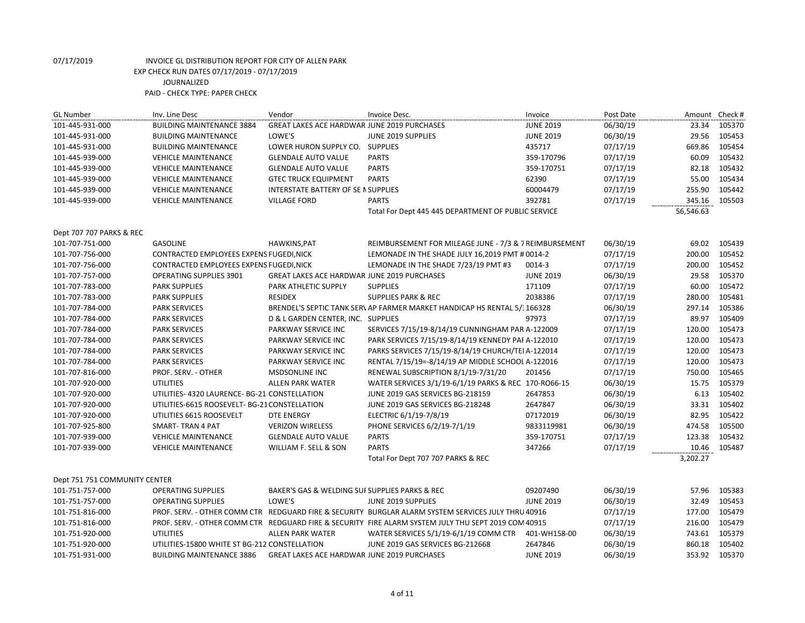| <b>GL Number</b>              | Inv. Line Desc                                | Vendor                                             | Invoice Desc.                                                                                        | Invoice          | Post Date | Amount Check # |        |
|-------------------------------|-----------------------------------------------|----------------------------------------------------|------------------------------------------------------------------------------------------------------|------------------|-----------|----------------|--------|
| 101-445-931-000               | <b>BUILDING MAINTENANCE 3884</b>              | GREAT LAKES ACE HARDWAR JUNE 2019 PURCHASES        |                                                                                                      | <b>JUNE 2019</b> | 06/30/19  | 23.34          | 105370 |
| 101-445-931-000               | <b>BUILDING MAINTENANCE</b>                   | LOWE'S                                             | JUNE 2019 SUPPLIES                                                                                   | <b>JUNE 2019</b> | 06/30/19  | 29.56          | 105453 |
| 101-445-931-000               | <b>BUILDING MAINTENANCE</b>                   | LOWER HURON SUPPLY CO. SUPPLIES                    |                                                                                                      | 435717           | 07/17/19  | 669.86         | 105454 |
| 101-445-939-000               | <b>VEHICLE MAINTENANCE</b>                    | <b>GLENDALE AUTO VALUE</b>                         | <b>PARTS</b>                                                                                         | 359-170796       | 07/17/19  | 60.09          | 105432 |
| 101-445-939-000               | <b>VEHICLE MAINTENANCE</b>                    | <b>GLENDALE AUTO VALUE</b>                         | <b>PARTS</b>                                                                                         | 359-170751       | 07/17/19  | 82.18          | 105432 |
| 101-445-939-000               | <b>VEHICLE MAINTENANCE</b>                    | <b>GTEC TRUCK EQUIPMENT</b>                        | <b>PARTS</b>                                                                                         | 62390            | 07/17/19  | 55.00          | 105434 |
| 101-445-939-000               | <b>VEHICLE MAINTENANCE</b>                    | INTERSTATE BATTERY OF SE N SUPPLIES                |                                                                                                      | 60004479         | 07/17/19  | 255.90         | 105442 |
| 101-445-939-000               | <b>VEHICLE MAINTENANCE</b>                    | <b>VILLAGE FORD</b>                                | <b>PARTS</b>                                                                                         | 392781           | 07/17/19  | 345.16         | 105503 |
|                               |                                               |                                                    | Total For Dept 445 445 DEPARTMENT OF PUBLIC SERVICE                                                  |                  |           | 56,546.63      |        |
| Dept 707 707 PARKS & REC      |                                               |                                                    |                                                                                                      |                  |           |                |        |
| 101-707-751-000               | <b>GASOLINE</b>                               | HAWKINS, PAT                                       | REIMBURSEMENT FOR MILEAGE JUNE - 7/3 & 7 REIMBURSEMENT                                               |                  | 06/30/19  | 69.02          | 105439 |
| 101-707-756-000               | CONTRACTED EMPLOYEES EXPENS FUGEDI, NICK      |                                                    | LEMONADE IN THE SHADE JULY 16,2019 PMT # 0014-2                                                      |                  | 07/17/19  | 200.00         | 105452 |
| 101-707-756-000               | CONTRACTED EMPLOYEES EXPENS FUGEDI, NICK      |                                                    | LEMONADE IN THE SHADE 7/23/19 PMT #3                                                                 | 0014-3           | 07/17/19  | 200.00         | 105452 |
| 101-707-757-000               | <b>OPERATING SUPPLIES 3901</b>                | GREAT LAKES ACE HARDWAR JUNE 2019 PURCHASES        |                                                                                                      | <b>JUNE 2019</b> | 06/30/19  | 29.58          | 105370 |
| 101-707-783-000               | <b>PARK SUPPLIES</b>                          | PARK ATHLETIC SUPPLY                               | <b>SUPPLIES</b>                                                                                      | 171109           | 07/17/19  | 60.00          | 105472 |
| 101-707-783-000               | <b>PARK SUPPLIES</b>                          | <b>RESIDEX</b>                                     | <b>SUPPLIES PARK &amp; REC</b>                                                                       | 2038386          | 07/17/19  | 280.00         | 105481 |
| 101-707-784-000               | <b>PARK SERVICES</b>                          |                                                    | BRENDEL'S SEPTIC TANK SER\ AP FARMER MARKET HANDICAP HS RENTAL 5/: 166328                            |                  | 06/30/19  | 297.14         | 105386 |
| 101-707-784-000               | <b>PARK SERVICES</b>                          | D & L GARDEN CENTER, INC. SUPPLIES                 |                                                                                                      | 97973            | 07/17/19  | 89.97          | 105409 |
| 101-707-784-000               | <b>PARK SERVICES</b>                          | PARKWAY SERVICE INC                                | SERVICES 7/15/19-8/14/19 CUNNINGHAM PAR A-122009                                                     |                  | 07/17/19  | 120.00         | 105473 |
| 101-707-784-000               | <b>PARK SERVICES</b>                          | PARKWAY SERVICE INC                                | PARK SERVICES 7/15/19-8/14/19 KENNEDY PAF A-122010                                                   |                  | 07/17/19  | 120.00         | 105473 |
| 101-707-784-000               | <b>PARK SERVICES</b>                          | PARKWAY SERVICE INC                                | PARKS SERVICES 7/15/19-8/14/19 CHURCH/TEI A-122014                                                   |                  | 07/17/19  | 120.00         | 105473 |
| 101-707-784-000               | <b>PARK SERVICES</b>                          | PARKWAY SERVICE INC                                | RENTAL 7/15/19=-8/14/19 AP MIDDLE SCHOOL A-122016                                                    |                  | 07/17/19  | 120.00         | 105473 |
| 101-707-816-000               | PROF. SERV. - OTHER                           | <b>MSDSONLINE INC</b>                              | RENEWAL SUBSCRIPTION 8/1/19-7/31/20                                                                  | 201456           | 07/17/19  | 750.00         | 105465 |
| 101-707-920-000               | <b>UTILITIES</b>                              | <b>ALLEN PARK WATER</b>                            | WATER SERVICES 3/1/19-6/1/19 PARKS & REC 170-RO66-15                                                 |                  | 06/30/19  | 15.75          | 105379 |
| 101-707-920-000               | UTILITIES- 4320 LAURENCE- BG-21 CONSTELLATION |                                                    | JUNE 2019 GAS SERVICES BG-218159                                                                     | 2647853          | 06/30/19  | 6.13           | 105402 |
| 101-707-920-000               | UTILITIES-6615 ROOSEVELT- BG-21 CONSTELLATION |                                                    | JUNE 2019 GAS SERVICES BG-218248                                                                     | 2647847          | 06/30/19  | 33.31          | 105402 |
| 101-707-920-000               | UTILITIES 6615 ROOSEVELT                      | DTE ENERGY                                         | ELECTRIC 6/1/19-7/8/19                                                                               | 07172019         | 06/30/19  | 82.95          | 105422 |
| 101-707-925-800               | SMART-TRAN 4 PAT                              | <b>VERIZON WIRELESS</b>                            | PHONE SERVICES 6/2/19-7/1/19                                                                         | 9833119981       | 06/30/19  | 474.58         | 105500 |
| 101-707-939-000               | <b>VEHICLE MAINTENANCE</b>                    | <b>GLENDALE AUTO VALUE</b>                         | <b>PARTS</b>                                                                                         | 359-170751       | 07/17/19  | 123.38         | 105432 |
| 101-707-939-000               | <b>VEHICLE MAINTENANCE</b>                    | WILLIAM F. SELL & SON                              | <b>PARTS</b>                                                                                         | 347266           | 07/17/19  | 10.46          | 105487 |
|                               |                                               |                                                    | Total For Dept 707 707 PARKS & REC                                                                   |                  |           | 3,202.27       |        |
| Dept 751 751 COMMUNITY CENTER |                                               |                                                    |                                                                                                      |                  |           |                |        |
| 101-751-757-000               | <b>OPERATING SUPPLIES</b>                     | BAKER'S GAS & WELDING SUI SUPPLIES PARKS & REC     |                                                                                                      | 09207490         | 06/30/19  | 57.96          | 105383 |
| 101-751-757-000               | <b>OPERATING SUPPLIES</b>                     | LOWE'S                                             | JUNE 2019 SUPPLIES                                                                                   | <b>JUNE 2019</b> | 06/30/19  | 32.49          | 105453 |
| 101-751-816-000               |                                               |                                                    | PROF. SERV. - OTHER COMM CTR REDGUARD FIRE & SECURITY BURGLAR ALARM SYSTEM SERVICES JULY THRU 40916  |                  | 07/17/19  | 177.00         | 105479 |
| 101-751-816-000               |                                               |                                                    | PROF. SERV. - OTHER COMM CTR REDGUARD FIRE & SECURITY FIRE ALARM SYSTEM JULY THU SEPT 2019 COM 40915 |                  | 07/17/19  | 216.00         | 105479 |
| 101-751-920-000               | <b>UTILITIES</b>                              | <b>ALLEN PARK WATER</b>                            | WATER SERVICES 5/1/19-6/1/19 COMM CTR                                                                | 401-WH158-00     | 06/30/19  | 743.61         | 105379 |
| 101-751-920-000               | UTILITIES-15800 WHITE ST BG-212 CONSTELLATION |                                                    | JUNE 2019 GAS SERVICES BG-212668                                                                     | 2647846          | 06/30/19  | 860.18         | 105402 |
| 101-751-931-000               | <b>BUILDING MAINTENANCE 3886</b>              | <b>GREAT LAKES ACE HARDWAR JUNE 2019 PURCHASES</b> |                                                                                                      | <b>JUNE 2019</b> | 06/30/19  | 353.92         | 105370 |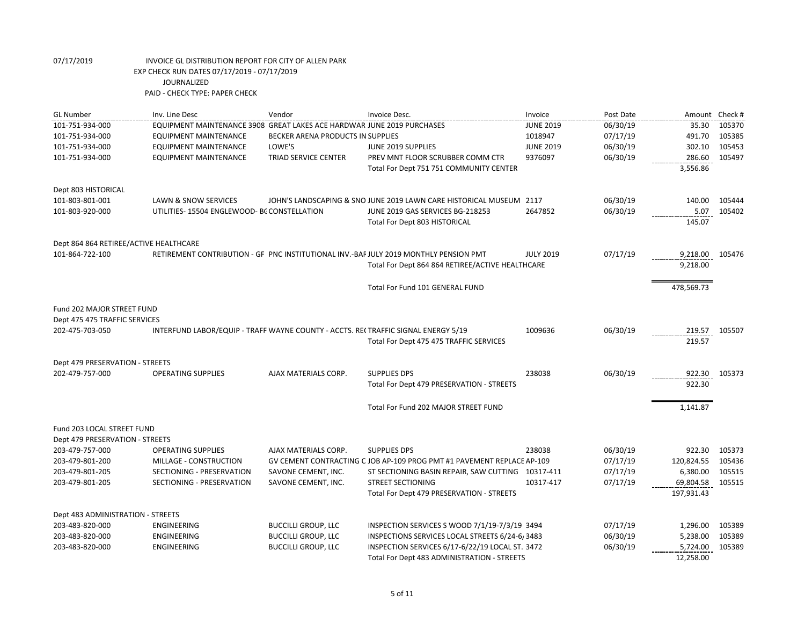| <b>GL Number</b>                       | Inv. Line Desc                                                                    | Vendor                            | Invoice Desc.                                                                         | Invoice          | Post Date | Amount Check # |        |
|----------------------------------------|-----------------------------------------------------------------------------------|-----------------------------------|---------------------------------------------------------------------------------------|------------------|-----------|----------------|--------|
| 101-751-934-000                        | EQUIPMENT MAINTENANCE 3908 GREAT LAKES ACE HARDWAR JUNE 2019 PURCHASES            |                                   |                                                                                       | <b>JUNE 2019</b> | 06/30/19  | 35.30          | 105370 |
| 101-751-934-000                        | <b>EQUIPMENT MAINTENANCE</b>                                                      | BECKER ARENA PRODUCTS IN SUPPLIES |                                                                                       | 1018947          | 07/17/19  | 491.70         | 105385 |
| 101-751-934-000                        | <b>EQUIPMENT MAINTENANCE</b>                                                      | LOWE'S                            | JUNE 2019 SUPPLIES                                                                    | <b>JUNE 2019</b> | 06/30/19  | 302.10         | 105453 |
| 101-751-934-000                        | <b>EQUIPMENT MAINTENANCE</b>                                                      | TRIAD SERVICE CENTER              | PREV MNT FLOOR SCRUBBER COMM CTR                                                      | 9376097          | 06/30/19  | 286.60         | 105497 |
|                                        |                                                                                   |                                   | Total For Dept 751 751 COMMUNITY CENTER                                               |                  |           | 3,556.86       |        |
| Dept 803 HISTORICAL                    |                                                                                   |                                   |                                                                                       |                  |           |                |        |
| 101-803-801-001                        | LAWN & SNOW SERVICES                                                              |                                   | JOHN'S LANDSCAPING & SNO JUNE 2019 LAWN CARE HISTORICAL MUSEUM 2117                   |                  | 06/30/19  | 140.00         | 105444 |
| 101-803-920-000                        | UTILITIES-15504 ENGLEWOOD- BC CONSTELLATION                                       |                                   | JUNE 2019 GAS SERVICES BG-218253                                                      | 2647852          | 06/30/19  | 5.07           | 105402 |
|                                        |                                                                                   |                                   | Total For Dept 803 HISTORICAL                                                         |                  |           | 145.07         |        |
| Dept 864 864 RETIREE/ACTIVE HEALTHCARE |                                                                                   |                                   |                                                                                       |                  |           |                |        |
| 101-864-722-100                        |                                                                                   |                                   | RETIREMENT CONTRIBUTION - GF PNC INSTITUTIONAL INV.-BAF JULY 2019 MONTHLY PENSION PMT | <b>JULY 2019</b> | 07/17/19  | 9,218.00       | 105476 |
|                                        |                                                                                   |                                   | Total For Dept 864 864 RETIREE/ACTIVE HEALTHCARE                                      |                  |           | 9,218.00       |        |
|                                        |                                                                                   |                                   | Total For Fund 101 GENERAL FUND                                                       |                  |           | 478,569.73     |        |
| Fund 202 MAJOR STREET FUND             |                                                                                   |                                   |                                                                                       |                  |           |                |        |
| Dept 475 475 TRAFFIC SERVICES          |                                                                                   |                                   |                                                                                       |                  |           |                |        |
| 202-475-703-050                        | INTERFUND LABOR/EQUIP - TRAFF WAYNE COUNTY - ACCTS. RE(TRAFFIC SIGNAL ENERGY 5/19 |                                   |                                                                                       | 1009636          | 06/30/19  | 219.57         | 105507 |
|                                        |                                                                                   |                                   | Total For Dept 475 475 TRAFFIC SERVICES                                               |                  |           | 219.57         |        |
| Dept 479 PRESERVATION - STREETS        |                                                                                   |                                   |                                                                                       |                  |           |                |        |
| 202-479-757-000                        | <b>OPERATING SUPPLIES</b>                                                         | AJAX MATERIALS CORP.              | <b>SUPPLIES DPS</b>                                                                   | 238038           | 06/30/19  | 922.30         | 105373 |
|                                        |                                                                                   |                                   | Total For Dept 479 PRESERVATION - STREETS                                             |                  |           | 922.30         |        |
|                                        |                                                                                   |                                   | Total For Fund 202 MAJOR STREET FUND                                                  |                  |           | 1,141.87       |        |
| Fund 203 LOCAL STREET FUND             |                                                                                   |                                   |                                                                                       |                  |           |                |        |
| Dept 479 PRESERVATION - STREETS        |                                                                                   |                                   |                                                                                       |                  |           |                |        |
| 203-479-757-000                        | <b>OPERATING SUPPLIES</b>                                                         | AJAX MATERIALS CORP.              | <b>SUPPLIES DPS</b>                                                                   | 238038           | 06/30/19  | 922.30         | 105373 |
| 203-479-801-200                        | MILLAGE - CONSTRUCTION                                                            |                                   | GV CEMENT CONTRACTING C JOB AP-109 PROG PMT #1 PAVEMENT REPLACE AP-109                |                  | 07/17/19  | 120,824.55     | 105436 |
| 203-479-801-205                        | SECTIONING - PRESERVATION                                                         | SAVONE CEMENT, INC.               | ST SECTIONING BASIN REPAIR, SAW CUTTING 10317-411                                     |                  | 07/17/19  | 6,380.00       | 105515 |
| 203-479-801-205                        | SECTIONING - PRESERVATION                                                         | SAVONE CEMENT, INC.               | <b>STREET SECTIONING</b>                                                              | 10317-417        | 07/17/19  | 69,804.58      | 105515 |
|                                        |                                                                                   |                                   | Total For Dept 479 PRESERVATION - STREETS                                             |                  |           | 197,931.43     |        |
| Dept 483 ADMINISTRATION - STREETS      |                                                                                   |                                   |                                                                                       |                  |           |                |        |
| 203-483-820-000                        | <b>ENGINEERING</b>                                                                | <b>BUCCILLI GROUP, LLC</b>        | INSPECTION SERVICES S WOOD 7/1/19-7/3/19 3494                                         |                  | 07/17/19  | 1,296.00       | 105389 |
| 203-483-820-000                        | ENGINEERING                                                                       | <b>BUCCILLI GROUP, LLC</b>        | INSPECTIONS SERVICES LOCAL STREETS 6/24-6, 3483                                       |                  | 06/30/19  | 5,238.00       | 105389 |
| 203-483-820-000                        | ENGINEERING                                                                       | <b>BUCCILLI GROUP, LLC</b>        | INSPECTION SERVICES 6/17-6/22/19 LOCAL ST. 3472                                       |                  | 06/30/19  | 5,724.00       | 105389 |
|                                        |                                                                                   |                                   | Total For Dept 483 ADMINISTRATION - STREETS                                           |                  |           | 12,258.00      |        |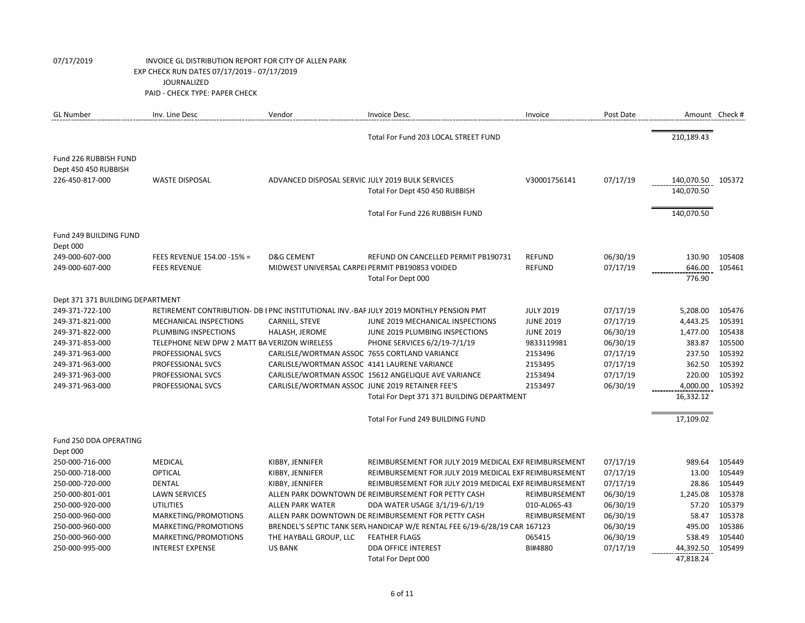| <b>GL Number</b>                              | Inv. Line Desc                               | Vendor                                           | Invoice Desc.                                                                          | Invoice          | Post Date | Amount Check #    |        |
|-----------------------------------------------|----------------------------------------------|--------------------------------------------------|----------------------------------------------------------------------------------------|------------------|-----------|-------------------|--------|
|                                               |                                              |                                                  | Total For Fund 203 LOCAL STREET FUND                                                   |                  |           | 210,189.43        |        |
| Fund 226 RUBBISH FUND<br>Dept 450 450 RUBBISH |                                              |                                                  |                                                                                        |                  |           |                   |        |
| 226-450-817-000                               | <b>WASTE DISPOSAL</b>                        | ADVANCED DISPOSAL SERVIC JULY 2019 BULK SERVICES |                                                                                        | V30001756141     | 07/17/19  | 140,070.50 105372 |        |
|                                               |                                              |                                                  | Total For Dept 450 450 RUBBISH                                                         |                  |           | 140,070.50        |        |
|                                               |                                              |                                                  |                                                                                        |                  |           |                   |        |
|                                               |                                              |                                                  | Total For Fund 226 RUBBISH FUND                                                        |                  |           | 140,070.50        |        |
| Fund 249 BUILDING FUND                        |                                              |                                                  |                                                                                        |                  |           |                   |        |
| Dept 000                                      |                                              |                                                  |                                                                                        |                  |           |                   |        |
| 249-000-607-000                               | FEES REVENUE 154.00 -15% =                   | <b>D&amp;G CEMENT</b>                            | REFUND ON CANCELLED PERMIT PB190731                                                    | <b>REFUND</b>    | 06/30/19  | 130.90            | 105408 |
| 249-000-607-000                               | <b>FEES REVENUE</b>                          | MIDWEST UNIVERSAL CARPEI PERMIT PB190853 VOIDED  |                                                                                        | <b>REFUND</b>    | 07/17/19  | 646.00            | 105461 |
|                                               |                                              |                                                  | Total For Dept 000                                                                     |                  |           | 776.90            |        |
| Dept 371 371 BUILDING DEPARTMENT              |                                              |                                                  |                                                                                        |                  |           |                   |        |
| 249-371-722-100                               |                                              |                                                  | RETIREMENT CONTRIBUTION- DB I PNC INSTITUTIONAL INV.-BAF JULY 2019 MONTHLY PENSION PMT | <b>JULY 2019</b> | 07/17/19  | 5,208.00          | 105476 |
| 249-371-821-000                               | <b>MECHANICAL INSPECTIONS</b>                | CARNILL, STEVE                                   | JUNE 2019 MECHANICAL INSPECTIONS                                                       | <b>JUNE 2019</b> | 07/17/19  | 4,443.25          | 105391 |
| 249-371-822-000                               | PLUMBING INSPECTIONS                         | HALASH, JEROME                                   | JUNE 2019 PLUMBING INSPECTIONS                                                         | <b>JUNE 2019</b> | 06/30/19  | 1,477.00          | 105438 |
| 249-371-853-000                               | TELEPHONE NEW DPW 2 MATT BA VERIZON WIRELESS |                                                  | PHONE SERVICES 6/2/19-7/1/19                                                           | 9833119981       | 06/30/19  | 383.87            | 105500 |
| 249-371-963-000                               | PROFESSIONAL SVCS                            | CARLISLE/WORTMAN ASSOC 7655 CORTLAND VARIANCE    |                                                                                        | 2153496          | 07/17/19  | 237.50            | 105392 |
| 249-371-963-000                               | PROFESSIONAL SVCS                            | CARLISLE/WORTMAN ASSOC 4141 LAURENE VARIANCE     |                                                                                        | 2153495          | 07/17/19  | 362.50            | 105392 |
| 249-371-963-000                               | PROFESSIONAL SVCS                            |                                                  | CARLISLE/WORTMAN ASSOC 15612 ANGELIQUE AVE VARIANCE                                    | 2153494          | 07/17/19  | 220.00            | 105392 |
| 249-371-963-000                               | PROFESSIONAL SVCS                            | CARLISLE/WORTMAN ASSOC JUNE 2019 RETAINER FEE'S  |                                                                                        | 2153497          | 06/30/19  | 4,000.00          | 105392 |
|                                               |                                              |                                                  | Total For Dept 371 371 BUILDING DEPARTMENT                                             |                  |           | 16,332.12         |        |
|                                               |                                              |                                                  | Total For Fund 249 BUILDING FUND                                                       |                  |           | 17,109.02         |        |
| Fund 250 DDA OPERATING                        |                                              |                                                  |                                                                                        |                  |           |                   |        |
| Dept 000                                      |                                              |                                                  |                                                                                        |                  |           |                   |        |
| 250-000-716-000                               | <b>MEDICAL</b>                               | KIBBY, JENNIFER                                  | REIMBURSEMENT FOR JULY 2019 MEDICAL EXF REIMBURSEMENT                                  |                  | 07/17/19  | 989.64            | 105449 |
| 250-000-718-000                               | <b>OPTICAL</b>                               | KIBBY, JENNIFER                                  | REIMBURSEMENT FOR JULY 2019 MEDICAL EXF REIMBURSEMENT                                  |                  | 07/17/19  | 13.00             | 105449 |
| 250-000-720-000                               | <b>DENTAL</b>                                | KIBBY, JENNIFER                                  | REIMBURSEMENT FOR JULY 2019 MEDICAL EXF REIMBURSEMENT                                  |                  | 07/17/19  | 28.86             | 105449 |
| 250-000-801-001                               | <b>LAWN SERVICES</b>                         |                                                  | ALLEN PARK DOWNTOWN DE REIMBURSEMENT FOR PETTY CASH                                    | REIMBURSEMENT    | 06/30/19  | 1,245.08          | 105378 |
| 250-000-920-000                               | <b>UTILITIES</b>                             | <b>ALLEN PARK WATER</b>                          | DDA WATER USAGE 3/1/19-6/1/19                                                          | 010-AL065-43     | 06/30/19  | 57.20             | 105379 |
| 250-000-960-000                               | MARKETING/PROMOTIONS                         |                                                  | ALLEN PARK DOWNTOWN DE REIMBURSEMENT FOR PETTY CASH                                    | REIMBURSEMENT    | 06/30/19  | 58.47             | 105378 |
| 250-000-960-000                               | MARKETING/PROMOTIONS                         |                                                  | BRENDEL'S SEPTIC TANK SER\ HANDICAP W/E RENTAL FEE 6/19-6/28/19 CAR 167123             |                  | 06/30/19  | 495.00            | 105386 |
| 250-000-960-000                               | MARKETING/PROMOTIONS                         | THE HAYBALL GROUP, LLC                           | <b>FEATHER FLAGS</b>                                                                   | 065415           | 06/30/19  | 538.49            | 105440 |
| 250-000-995-000                               | <b>INTEREST EXPENSE</b>                      | <b>US BANK</b>                                   | <b>DDA OFFICE INTEREST</b>                                                             | BI#4880          | 07/17/19  | 44,392.50         | 105499 |
|                                               |                                              |                                                  | Total For Dept 000                                                                     |                  |           | 47,818.24         |        |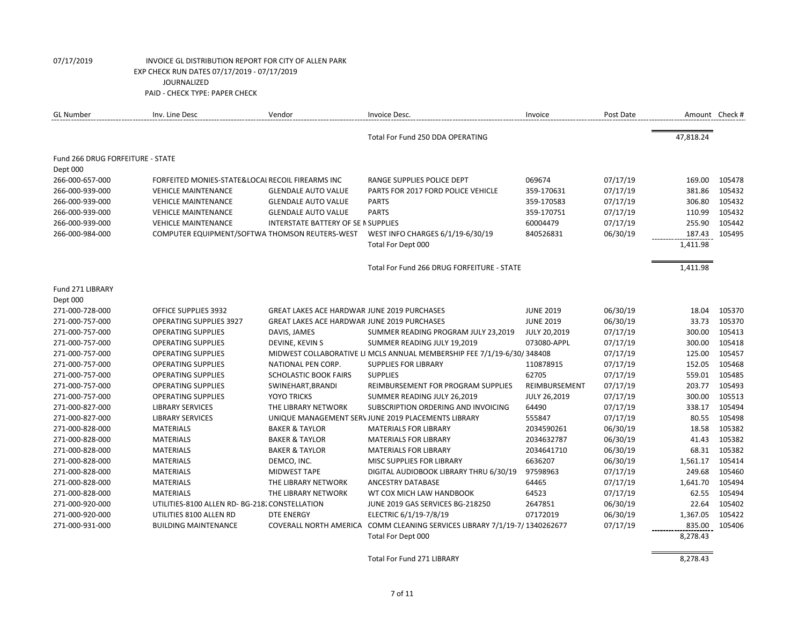| <b>GL Number</b>                 | Inv. Line Desc                                   | Vendor                                             | Invoice Desc.                                                          | Invoice             | Post Date |           | Amount Check # |
|----------------------------------|--------------------------------------------------|----------------------------------------------------|------------------------------------------------------------------------|---------------------|-----------|-----------|----------------|
|                                  |                                                  |                                                    | Total For Fund 250 DDA OPERATING                                       |                     |           | 47,818.24 |                |
| Fund 266 DRUG FORFEITURE - STATE |                                                  |                                                    |                                                                        |                     |           |           |                |
| Dept 000                         |                                                  |                                                    |                                                                        |                     |           |           |                |
| 266-000-657-000                  | FORFEITED MONIES-STATE&LOCAI RECOIL FIREARMS INC |                                                    | RANGE SUPPLIES POLICE DEPT                                             | 069674              | 07/17/19  | 169.00    | 105478         |
| 266-000-939-000                  | <b>VEHICLE MAINTENANCE</b>                       | <b>GLENDALE AUTO VALUE</b>                         | PARTS FOR 2017 FORD POLICE VEHICLE                                     | 359-170631          | 07/17/19  | 381.86    | 105432         |
| 266-000-939-000                  | <b>VEHICLE MAINTENANCE</b>                       | <b>GLENDALE AUTO VALUE</b>                         | <b>PARTS</b>                                                           | 359-170583          | 07/17/19  | 306.80    | 105432         |
| 266-000-939-000                  | <b>VEHICLE MAINTENANCE</b>                       | <b>GLENDALE AUTO VALUE</b>                         | <b>PARTS</b>                                                           | 359-170751          | 07/17/19  | 110.99    | 105432         |
| 266-000-939-000                  | <b>VEHICLE MAINTENANCE</b>                       | INTERSTATE BATTERY OF SE IN SUPPLIES               |                                                                        | 60004479            | 07/17/19  | 255.90    | 105442         |
| 266-000-984-000                  | COMPUTER EQUIPMENT/SOFTWA THOMSON REUTERS-WEST   |                                                    | WEST INFO CHARGES 6/1/19-6/30/19                                       | 840526831           | 06/30/19  | 187.43    | 105495         |
|                                  |                                                  |                                                    | Total For Dept 000                                                     |                     |           | 1,411.98  |                |
|                                  |                                                  |                                                    | Total For Fund 266 DRUG FORFEITURE - STATE                             |                     |           | 1,411.98  |                |
| Fund 271 LIBRARY                 |                                                  |                                                    |                                                                        |                     |           |           |                |
| Dept 000                         |                                                  |                                                    |                                                                        |                     |           |           |                |
| 271-000-728-000                  | OFFICE SUPPLIES 3932                             | <b>GREAT LAKES ACE HARDWAR JUNE 2019 PURCHASES</b> |                                                                        | <b>JUNE 2019</b>    | 06/30/19  | 18.04     | 105370         |
| 271-000-757-000                  | <b>OPERATING SUPPLIES 3927</b>                   | <b>GREAT LAKES ACE HARDWAR JUNE 2019 PURCHASES</b> |                                                                        | <b>JUNE 2019</b>    | 06/30/19  | 33.73     | 105370         |
| 271-000-757-000                  | <b>OPERATING SUPPLIES</b>                        | DAVIS, JAMES                                       | SUMMER READING PROGRAM JULY 23,2019                                    | <b>JULY 20,2019</b> | 07/17/19  | 300.00    | 105413         |
| 271-000-757-000                  | <b>OPERATING SUPPLIES</b>                        | DEVINE, KEVIN S                                    | SUMMER READING JULY 19,2019                                            | 073080-APPL         | 07/17/19  | 300.00    | 105418         |
| 271-000-757-000                  | <b>OPERATING SUPPLIES</b>                        |                                                    | MIDWEST COLLABORATIVE LI MCLS ANNUAL MEMBERSHIP FEE 7/1/19-6/30/348408 |                     | 07/17/19  | 125.00    | 105457         |
| 271-000-757-000                  | <b>OPERATING SUPPLIES</b>                        | NATIONAL PEN CORP.                                 | <b>SUPPLIES FOR LIBRARY</b>                                            | 110878915           | 07/17/19  | 152.05    | 105468         |
| 271-000-757-000                  | <b>OPERATING SUPPLIES</b>                        | <b>SCHOLASTIC BOOK FAIRS</b>                       | <b>SUPPLIES</b>                                                        | 62705               | 07/17/19  | 559.01    | 105485         |
| 271-000-757-000                  | <b>OPERATING SUPPLIES</b>                        | SWINEHART, BRANDI                                  | REIMBURSEMENT FOR PROGRAM SUPPLIES                                     | REIMBURSEMENT       | 07/17/19  | 203.77    | 105493         |
| 271-000-757-000                  | <b>OPERATING SUPPLIES</b>                        | <b>YOYO TRICKS</b>                                 | SUMMER READING JULY 26,2019                                            | <b>JULY 26,2019</b> | 07/17/19  | 300.00    | 105513         |
| 271-000-827-000                  | <b>LIBRARY SERVICES</b>                          | THE LIBRARY NETWORK                                | SUBSCRIPTION ORDERING AND INVOICING                                    | 64490               | 07/17/19  | 338.17    | 105494         |
| 271-000-827-000                  | <b>LIBRARY SERVICES</b>                          |                                                    | UNIQUE MANAGEMENT SERV JUNE 2019 PLACEMENTS LIBRARY                    | 555847              | 07/17/19  | 80.55     | 105498         |
| 271-000-828-000                  | <b>MATERIALS</b>                                 | <b>BAKER &amp; TAYLOR</b>                          | <b>MATERIALS FOR LIBRARY</b>                                           | 2034590261          | 06/30/19  | 18.58     | 105382         |
| 271-000-828-000                  | <b>MATERIALS</b>                                 | <b>BAKER &amp; TAYLOR</b>                          | <b>MATERIALS FOR LIBRARY</b>                                           | 2034632787          | 06/30/19  | 41.43     | 105382         |
| 271-000-828-000                  | <b>MATERIALS</b>                                 | <b>BAKER &amp; TAYLOR</b>                          | <b>MATERIALS FOR LIBRARY</b>                                           | 2034641710          | 06/30/19  | 68.31     | 105382         |
| 271-000-828-000                  | <b>MATERIALS</b>                                 | DEMCO, INC.                                        | MISC SUPPLIES FOR LIBRARY                                              | 6636207             | 06/30/19  | 1,561.17  | 105414         |
| 271-000-828-000                  | <b>MATERIALS</b>                                 | <b>MIDWEST TAPE</b>                                | DIGITAL AUDIOBOOK LIBRARY THRU 6/30/19                                 | 97598963            | 07/17/19  | 249.68    | 105460         |
| 271-000-828-000                  | <b>MATERIALS</b>                                 | THE LIBRARY NETWORK                                | <b>ANCESTRY DATABASE</b>                                               | 64465               | 07/17/19  | 1,641.70  | 105494         |
| 271-000-828-000                  | <b>MATERIALS</b>                                 | THE LIBRARY NETWORK                                | WT COX MICH LAW HANDBOOK                                               | 64523               | 07/17/19  | 62.55     | 105494         |
| 271-000-920-000                  | UTILITIES-8100 ALLEN RD- BG-218. CONSTELLATION   |                                                    | JUNE 2019 GAS SERVICES BG-218250                                       | 2647851             | 06/30/19  | 22.64     | 105402         |
| 271-000-920-000                  | UTILITIES 8100 ALLEN RD                          | <b>DTE ENERGY</b>                                  | ELECTRIC 6/1/19-7/8/19                                                 | 07172019            | 06/30/19  | 1,367.05  | 105422         |
| 271-000-931-000                  | <b>BUILDING MAINTENANCE</b>                      | COVERALL NORTH AMERICA                             | COMM CLEANING SERVICES LIBRARY 7/1/19-7/ 1340262677                    |                     | 07/17/19  | 835.00    | 105406         |
|                                  |                                                  |                                                    | Total For Dept 000                                                     |                     |           | 8,278.43  |                |

Total For Fund 271 LIBRARY 8,278.43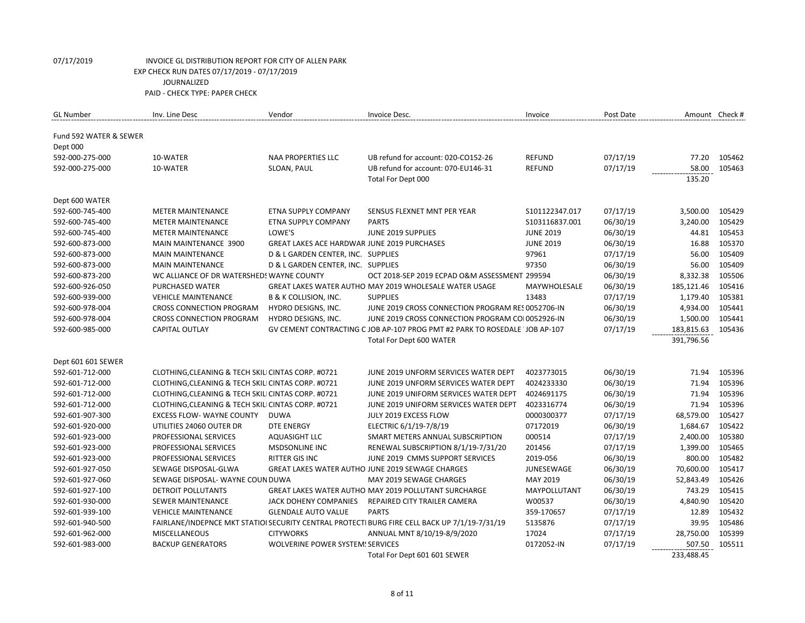| <b>GL Number</b>       | Inv. Line Desc                                     | Vendor                                             | Invoice Desc.                                                                                 | Invoice           | Post Date |            | Amount Check # |
|------------------------|----------------------------------------------------|----------------------------------------------------|-----------------------------------------------------------------------------------------------|-------------------|-----------|------------|----------------|
| Fund 592 WATER & SEWER |                                                    |                                                    |                                                                                               |                   |           |            |                |
| Dept 000               |                                                    |                                                    |                                                                                               |                   |           |            |                |
| 592-000-275-000        | 10-WATER                                           | <b>NAA PROPERTIES LLC</b>                          | UB refund for account: 020-CO152-26                                                           | <b>REFUND</b>     | 07/17/19  | 77.20      | 105462         |
| 592-000-275-000        | 10-WATER                                           | SLOAN, PAUL                                        | UB refund for account: 070-EU146-31                                                           | <b>REFUND</b>     | 07/17/19  | 58.00      | 105463         |
|                        |                                                    |                                                    | Total For Dept 000                                                                            |                   |           | 135.20     |                |
|                        |                                                    |                                                    |                                                                                               |                   |           |            |                |
| Dept 600 WATER         |                                                    |                                                    |                                                                                               |                   |           |            |                |
| 592-600-745-400        | <b>METER MAINTENANCE</b>                           | ETNA SUPPLY COMPANY                                | SENSUS FLEXNET MNT PER YEAR                                                                   | S101122347.017    | 07/17/19  | 3,500.00   | 105429         |
| 592-600-745-400        | <b>METER MAINTENANCE</b>                           | <b>ETNA SUPPLY COMPANY</b>                         | <b>PARTS</b>                                                                                  | S103116837.001    | 06/30/19  | 3,240.00   | 105429         |
| 592-600-745-400        | <b>METER MAINTENANCE</b>                           | LOWE'S                                             | JUNE 2019 SUPPLIES                                                                            | <b>JUNE 2019</b>  | 06/30/19  | 44.81      | 105453         |
| 592-600-873-000        | MAIN MAINTENANCE 3900                              | <b>GREAT LAKES ACE HARDWAR JUNE 2019 PURCHASES</b> |                                                                                               | <b>JUNE 2019</b>  | 06/30/19  | 16.88      | 105370         |
| 592-600-873-000        | <b>MAIN MAINTENANCE</b>                            | D & L GARDEN CENTER, INC. SUPPLIES                 |                                                                                               | 97961             | 07/17/19  | 56.00      | 105409         |
| 592-600-873-000        | <b>MAIN MAINTENANCE</b>                            | D & L GARDEN CENTER, INC. SUPPLIES                 |                                                                                               | 97350             | 06/30/19  | 56.00      | 105409         |
| 592-600-873-200        | WC ALLIANCE OF DR WATERSHEDS WAYNE COUNTY          |                                                    | OCT 2018-SEP 2019 ECPAD O&M ASSESSMENT 299594                                                 |                   | 06/30/19  | 8,332.38   | 105506         |
| 592-600-926-050        | PURCHASED WATER                                    |                                                    | GREAT LAKES WATER AUTHO MAY 2019 WHOLESALE WATER USAGE                                        | MAYWHOLESALE      | 06/30/19  | 185,121.46 | 105416         |
| 592-600-939-000        | <b>VEHICLE MAINTENANCE</b>                         | <b>B &amp; K COLLISION, INC.</b>                   | <b>SUPPLIES</b>                                                                               | 13483             | 07/17/19  | 1,179.40   | 105381         |
| 592-600-978-004        | <b>CROSS CONNECTION PROGRAM</b>                    | HYDRO DESIGNS, INC.                                | JUNE 2019 CROSS CONNECTION PROGRAM RES 0052706-IN                                             |                   | 06/30/19  | 4,934.00   | 105441         |
| 592-600-978-004        | <b>CROSS CONNECTION PROGRAM</b>                    | HYDRO DESIGNS, INC.                                | JUNE 2019 CROSS CONNECTION PROGRAM COI 0052926-IN                                             |                   | 06/30/19  | 1,500.00   | 105441         |
| 592-600-985-000        | <b>CAPITAL OUTLAY</b>                              |                                                    | GV CEMENT CONTRACTING C JOB AP-107 PROG PMT #2 PARK TO ROSEDALE JOB AP-107                    |                   | 07/17/19  | 183,815.63 | 105436         |
|                        |                                                    |                                                    | Total For Dept 600 WATER                                                                      |                   |           | 391,796.56 |                |
|                        |                                                    |                                                    |                                                                                               |                   |           |            |                |
| Dept 601 601 SEWER     |                                                    |                                                    |                                                                                               |                   |           |            |                |
| 592-601-712-000        | CLOTHING, CLEANING & TECH SKILI CINTAS CORP. #0721 |                                                    | JUNE 2019 UNFORM SERVICES WATER DEPT                                                          | 4023773015        | 06/30/19  | 71.94      | 105396         |
| 592-601-712-000        | CLOTHING, CLEANING & TECH SKILI CINTAS CORP. #0721 |                                                    | JUNE 2019 UNFORM SERVICES WATER DEPT                                                          | 4024233330        | 06/30/19  | 71.94      | 105396         |
| 592-601-712-000        | CLOTHING, CLEANING & TECH SKILI CINTAS CORP. #0721 |                                                    | JUNE 2019 UNIFORM SERVICES WATER DEPT                                                         | 4024691175        | 06/30/19  | 71.94      | 105396         |
| 592-601-712-000        | CLOTHING, CLEANING & TECH SKILI CINTAS CORP. #0721 |                                                    | JUNE 2019 UNIFORM SERVICES WATER DEPT                                                         | 4023316774        | 06/30/19  | 71.94      | 105396         |
| 592-601-907-300        | <b>EXCESS FLOW- WAYNE COUNTY</b>                   | <b>DUWA</b>                                        | JULY 2019 EXCESS FLOW                                                                         | 0000300377        | 07/17/19  | 68,579.00  | 105427         |
| 592-601-920-000        | UTILITIES 24060 OUTER DR                           | <b>DTE ENERGY</b>                                  | ELECTRIC 6/1/19-7/8/19                                                                        | 07172019          | 06/30/19  | 1,684.67   | 105422         |
| 592-601-923-000        | PROFESSIONAL SERVICES                              | <b>AQUASIGHT LLC</b>                               | SMART METERS ANNUAL SUBSCRIPTION                                                              | 000514            | 07/17/19  | 2,400.00   | 105380         |
| 592-601-923-000        | PROFESSIONAL SERVICES                              | <b>MSDSONLINE INC</b>                              | RENEWAL SUBSCRIPTION 8/1/19-7/31/20                                                           | 201456            | 07/17/19  | 1,399.00   | 105465         |
| 592-601-923-000        | PROFESSIONAL SERVICES                              | <b>RITTER GIS INC</b>                              | JUNE 2019 CMMS SUPPORT SERVICES                                                               | 2019-056          | 06/30/19  | 800.00     | 105482         |
| 592-601-927-050        | SEWAGE DISPOSAL-GLWA                               |                                                    | GREAT LAKES WATER AUTHO JUNE 2019 SEWAGE CHARGES                                              | <b>JUNESEWAGE</b> | 06/30/19  | 70,600.00  | 105417         |
| 592-601-927-060        | SEWAGE DISPOSAL- WAYNE COUN DUWA                   |                                                    | MAY 2019 SEWAGE CHARGES                                                                       | MAY 2019          | 06/30/19  | 52,843.49  | 105426         |
| 592-601-927-100        | DETROIT POLLUTANTS                                 |                                                    | <b>GREAT LAKES WATER AUTHO MAY 2019 POLLUTANT SURCHARGE</b>                                   | MAYPOLLUTANT      | 06/30/19  | 743.29     | 105415         |
| 592-601-930-000        | <b>SEWER MAINTENANCE</b>                           | JACK DOHENY COMPANIES                              | REPAIRED CITY TRAILER CAMERA                                                                  | W00537            | 06/30/19  | 4,840.90   | 105420         |
| 592-601-939-100        | <b>VEHICLE MAINTENANCE</b>                         | <b>GLENDALE AUTO VALUE</b>                         | <b>PARTS</b>                                                                                  | 359-170657        | 07/17/19  | 12.89      | 105432         |
| 592-601-940-500        |                                                    |                                                    | FAIRLANE/INDEPNCE MKT STATIOI SECURITY CENTRAL PROTECTI BURG FIRE CELL BACK UP 7/1/19-7/31/19 | 5135876           | 07/17/19  | 39.95      | 105486         |
| 592-601-962-000        | MISCELLANEOUS                                      | <b>CITYWORKS</b>                                   | ANNUAL MNT 8/10/19-8/9/2020                                                                   | 17024             | 07/17/19  | 28,750.00  | 105399         |
| 592-601-983-000        | <b>BACKUP GENERATORS</b>                           | WOLVERINE POWER SYSTEM: SERVICES                   |                                                                                               | 0172052-IN        | 07/17/19  | 507.50     | 105511         |
|                        |                                                    |                                                    | Total For Dept 601 601 SEWER                                                                  |                   |           | 233,488.45 |                |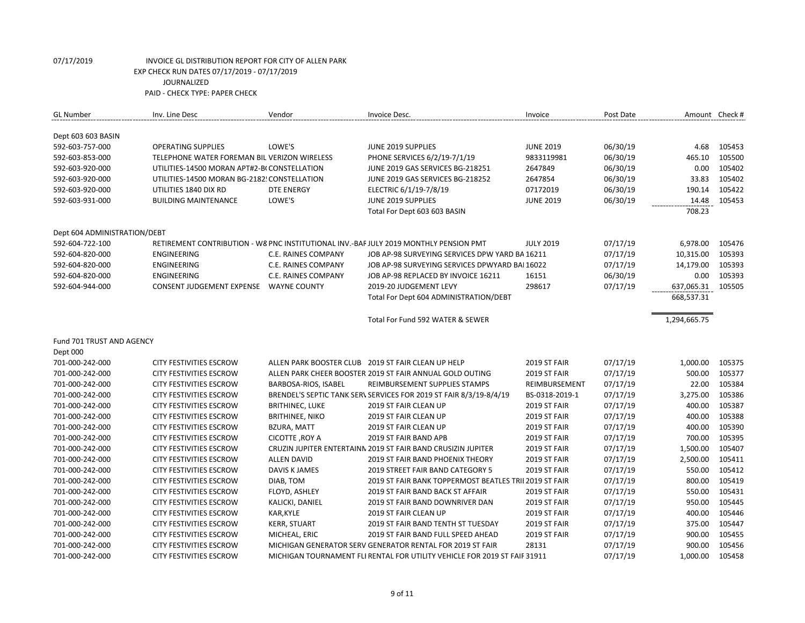| <b>GL Number</b>             | Inv. Line Desc                               | Vendor                     | Invoice Desc.                                                                         | Invoice             | Post Date |              | Amount Check # |
|------------------------------|----------------------------------------------|----------------------------|---------------------------------------------------------------------------------------|---------------------|-----------|--------------|----------------|
| Dept 603 603 BASIN           |                                              |                            |                                                                                       |                     |           |              |                |
| 592-603-757-000              | <b>OPERATING SUPPLIES</b>                    | LOWE'S                     | JUNE 2019 SUPPLIES                                                                    | <b>JUNE 2019</b>    | 06/30/19  | 4.68         | 105453         |
| 592-603-853-000              | TELEPHONE WATER FOREMAN BIL VERIZON WIRELESS |                            | PHONE SERVICES 6/2/19-7/1/19                                                          | 9833119981          | 06/30/19  | 465.10       | 105500         |
| 592-603-920-000              | UTILITIES-14500 MORAN APT#2-B(CONSTELLATION  |                            | JUNE 2019 GAS SERVICES BG-218251                                                      | 2647849             | 06/30/19  | 0.00         | 105402         |
| 592-603-920-000              | UTILITIES-14500 MORAN BG-2182! CONSTELLATION |                            | JUNE 2019 GAS SERVICES BG-218252                                                      | 2647854             | 06/30/19  | 33.83        | 105402         |
| 592-603-920-000              | UTILITIES 1840 DIX RD                        | <b>DTE ENERGY</b>          | ELECTRIC 6/1/19-7/8/19                                                                | 07172019            | 06/30/19  | 190.14       | 105422         |
| 592-603-931-000              | <b>BUILDING MAINTENANCE</b>                  | LOWE'S                     | JUNE 2019 SUPPLIES                                                                    | <b>JUNE 2019</b>    | 06/30/19  | 14.48        | 105453         |
|                              |                                              |                            | Total For Dept 603 603 BASIN                                                          |                     |           | 708.23       |                |
| Dept 604 ADMINISTRATION/DEBT |                                              |                            |                                                                                       |                     |           |              |                |
| 592-604-722-100              |                                              |                            | RETIREMENT CONTRIBUTION - W8 PNC INSTITUTIONAL INV.-BAF JULY 2019 MONTHLY PENSION PMT | <b>JULY 2019</b>    | 07/17/19  | 6,978.00     | 105476         |
| 592-604-820-000              | <b>ENGINEERING</b>                           | <b>C.E. RAINES COMPANY</b> | JOB AP-98 SURVEYING SERVICES DPW YARD BA 16211                                        |                     | 07/17/19  | 10,315.00    | 105393         |
| 592-604-820-000              | <b>ENGINEERING</b>                           | C.E. RAINES COMPANY        | JOB AP-98 SURVEYING SERVICES DPWYARD BAI 16022                                        |                     | 07/17/19  | 14,179.00    | 105393         |
| 592-604-820-000              | <b>ENGINEERING</b>                           | <b>C.E. RAINES COMPANY</b> | JOB AP-98 REPLACED BY INVOICE 16211                                                   | 16151               | 06/30/19  | 0.00         | 105393         |
| 592-604-944-000              | CONSENT JUDGEMENT EXPENSE  WAYNE COUNTY      |                            | 2019-20 JUDGEMENT LEVY                                                                | 298617              | 07/17/19  | 637,065.31   | 105505         |
|                              |                                              |                            | Total For Dept 604 ADMINISTRATION/DEBT                                                |                     |           | 668,537.31   |                |
|                              |                                              |                            | Total For Fund 592 WATER & SEWER                                                      |                     |           |              |                |
|                              |                                              |                            |                                                                                       |                     |           | 1,294,665.75 |                |
| Fund 701 TRUST AND AGENCY    |                                              |                            |                                                                                       |                     |           |              |                |
| Dept 000                     |                                              |                            |                                                                                       |                     |           |              |                |
| 701-000-242-000              | <b>CITY FESTIVITIES ESCROW</b>               |                            | ALLEN PARK BOOSTER CLUB 2019 ST FAIR CLEAN UP HELP                                    | 2019 ST FAIR        | 07/17/19  | 1,000.00     | 105375         |
| 701-000-242-000              | CITY FESTIVITIES ESCROW                      |                            | ALLEN PARK CHEER BOOSTER 2019 ST FAIR ANNUAL GOLD OUTING                              | <b>2019 ST FAIR</b> | 07/17/19  | 500.00       | 105377         |
| 701-000-242-000              | <b>CITY FESTIVITIES ESCROW</b>               | BARBOSA-RIOS, ISABEL       | REIMBURSEMENT SUPPLIES STAMPS                                                         | REIMBURSEMENT       | 07/17/19  | 22.00        | 105384         |
| 701-000-242-000              | CITY FESTIVITIES ESCROW                      |                            | BRENDEL'S SEPTIC TANK SERV SERVICES FOR 2019 ST FAIR 8/3/19-8/4/19                    | BS-0318-2019-1      | 07/17/19  | 3,275.00     | 105386         |
| 701-000-242-000              | <b>CITY FESTIVITIES ESCROW</b>               | <b>BRITHINEC, LUKE</b>     | 2019 ST FAIR CLEAN UP                                                                 | 2019 ST FAIR        | 07/17/19  | 400.00       | 105387         |
| 701-000-242-000              | <b>CITY FESTIVITIES ESCROW</b>               | <b>BRITHINEE, NIKO</b>     | 2019 ST FAIR CLEAN UP                                                                 | 2019 ST FAIR        | 07/17/19  | 400.00       | 105388         |
| 701-000-242-000              | <b>CITY FESTIVITIES ESCROW</b>               | <b>BZURA, MATT</b>         | 2019 ST FAIR CLEAN UP                                                                 | 2019 ST FAIR        | 07/17/19  | 400.00       | 105390         |
| 701-000-242-000              | <b>CITY FESTIVITIES ESCROW</b>               | CICOTTE, ROY A             | 2019 ST FAIR BAND APB                                                                 | 2019 ST FAIR        | 07/17/19  | 700.00       | 105395         |
| 701-000-242-000              | <b>CITY FESTIVITIES ESCROW</b>               |                            | CRUZIN JUPITER ENTERTAINN 2019 ST FAIR BAND CRUSIZIN JUPITER                          | 2019 ST FAIR        | 07/17/19  | 1,500.00     | 105407         |
| 701-000-242-000              | <b>CITY FESTIVITIES ESCROW</b>               | <b>ALLEN DAVID</b>         | 2019 ST FAIR BAND PHOENIX THEORY                                                      | 2019 ST FAIR        | 07/17/19  | 2,500.00     | 105411         |
| 701-000-242-000              | <b>CITY FESTIVITIES ESCROW</b>               | <b>DAVIS K JAMES</b>       | 2019 STREET FAIR BAND CATEGORY 5                                                      | 2019 ST FAIR        | 07/17/19  | 550.00       | 105412         |
| 701-000-242-000              | <b>CITY FESTIVITIES ESCROW</b>               | DIAB, TOM                  | 2019 ST FAIR BANK TOPPERMOST BEATLES TRII 2019 ST FAIR                                |                     | 07/17/19  | 800.00       | 105419         |
| 701-000-242-000              | <b>CITY FESTIVITIES ESCROW</b>               | FLOYD, ASHLEY              | 2019 ST FAIR BAND BACK ST AFFAIR                                                      | 2019 ST FAIR        | 07/17/19  | 550.00       | 105431         |
| 701-000-242-000              | <b>CITY FESTIVITIES ESCROW</b>               | KALICKI, DANIEL            | 2019 ST FAIR BAND DOWNRIVER DAN                                                       | 2019 ST FAIR        | 07/17/19  | 950.00       | 105445         |
| 701-000-242-000              | <b>CITY FESTIVITIES ESCROW</b>               | KAR, KYLE                  | 2019 ST FAIR CLEAN UP                                                                 | 2019 ST FAIR        | 07/17/19  | 400.00       | 105446         |
| 701-000-242-000              | <b>CITY FESTIVITIES ESCROW</b>               | <b>KERR, STUART</b>        | 2019 ST FAIR BAND TENTH ST TUESDAY                                                    | 2019 ST FAIR        | 07/17/19  | 375.00       | 105447         |
| 701-000-242-000              | CITY FESTIVITIES ESCROW                      | MICHEAL, ERIC              | 2019 ST FAIR BAND FULL SPEED AHEAD                                                    | 2019 ST FAIR        | 07/17/19  | 900.00       | 105455         |
| 701-000-242-000              | <b>CITY FESTIVITIES ESCROW</b>               |                            | MICHIGAN GENERATOR SERV GENERATOR RENTAL FOR 2019 ST FAIR                             | 28131               | 07/17/19  | 900.00       | 105456         |
| 701-000-242-000              | <b>CITY FESTIVITIES ESCROW</b>               |                            | MICHIGAN TOURNAMENT FLI RENTAL FOR UTILITY VEHICLE FOR 2019 ST FAIF 31911             |                     | 07/17/19  | 1,000.00     | 105458         |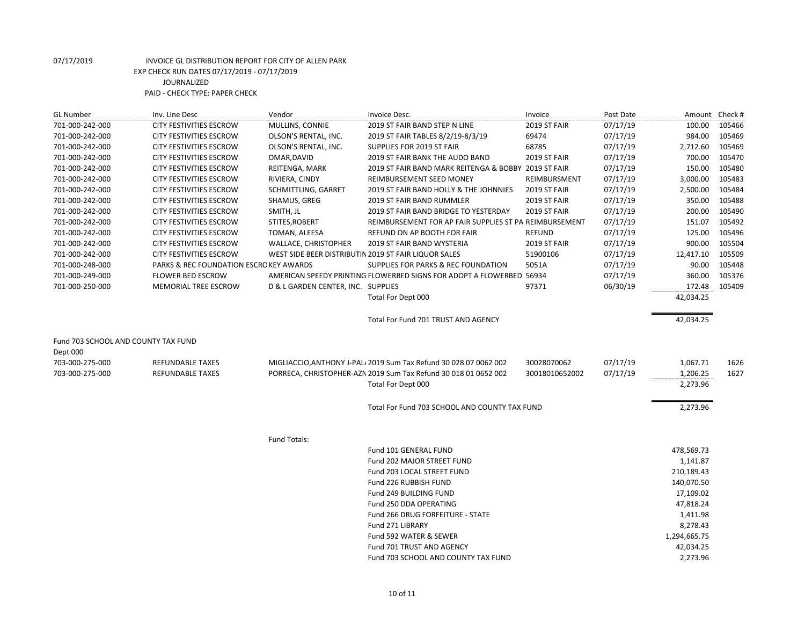| MULLINS, CONNIE<br>701-000-242-000<br><b>CITY FESTIVITIES ESCROW</b><br>2019 ST FAIR BAND STEP N LINE<br>2019 ST FAIR<br>07/17/19<br>100.00<br>105466<br>701-000-242-000<br>OLSON'S RENTAL, INC.<br>69474<br>07/17/19<br>984.00<br>105469<br><b>CITY FESTIVITIES ESCROW</b><br>2019 ST FAIR TABLES 8/2/19-8/3/19<br>701-000-242-000<br>68785<br>07/17/19<br>2,712.60<br>105469<br><b>CITY FESTIVITIES ESCROW</b><br>OLSON'S RENTAL, INC.<br>SUPPLIES FOR 2019 ST FAIR<br>07/17/19<br>700.00<br>105470<br>701-000-242-000<br><b>CITY FESTIVITIES ESCROW</b><br>OMAR, DAVID<br>2019 ST FAIR BANK THE AUDO BAND<br>2019 ST FAIR<br>150.00<br>701-000-242-000<br><b>CITY FESTIVITIES ESCROW</b><br>REITENGA, MARK<br>2019 ST FAIR BAND MARK REITENGA & BOBBY 2019 ST FAIR<br>07/17/19<br>105480<br>105483<br>701-000-242-000<br>RIVIERA, CINDY<br>REIMBURSEMENT SEED MONEY<br>07/17/19<br>3,000.00<br><b>CITY FESTIVITIES ESCROW</b><br>REIMBURSMENT<br>2,500.00<br>105484<br>701-000-242-000<br><b>CITY FESTIVITIES ESCROW</b><br>SCHMITTLING, GARRET<br>2019 ST FAIR BAND HOLLY & THE JOHNNIES<br><b>2019 ST FAIR</b><br>07/17/19<br>350.00<br>105488<br>701-000-242-000<br><b>CITY FESTIVITIES ESCROW</b><br>SHAMUS, GREG<br>2019 ST FAIR BAND RUMMLER<br>2019 ST FAIR<br>07/17/19<br>SMITH, JL<br>07/17/19<br>200.00<br>105490<br>701-000-242-000<br><b>CITY FESTIVITIES ESCROW</b><br>2019 ST FAIR BAND BRIDGE TO YESTERDAY<br><b>2019 ST FAIR</b><br>STITES, ROBERT<br>151.07<br>105492<br>701-000-242-000<br><b>CITY FESTIVITIES ESCROW</b><br>REIMBURSEMENT FOR AP FAIR SUPPLIES ST PA REIMBURSEMENT<br>07/17/19<br>701-000-242-000<br>TOMAN, ALEESA<br>REFUND ON AP BOOTH FOR FAIR<br><b>REFUND</b><br>07/17/19<br>125.00<br>105496<br><b>CITY FESTIVITIES ESCROW</b><br>900.00<br>701-000-242-000<br><b>CITY FESTIVITIES ESCROW</b><br>WALLACE, CHRISTOPHER<br>2019 ST FAIR BAND WYSTERIA<br>2019 ST FAIR<br>105504<br>07/17/19<br>701-000-242-000<br>WEST SIDE BEER DISTRIBUTIN 2019 ST FAIR LIQUOR SALES<br>51900106<br>07/17/19<br>12,417.10<br>105509<br><b>CITY FESTIVITIES ESCROW</b><br>90.00<br>105448<br>701-000-248-000<br>PARKS & REC FOUNDATION ESCROKEY AWARDS<br>SUPPLIES FOR PARKS & REC FOUNDATION<br>5051A<br>07/17/19<br>AMERICAN SPEEDY PRINTING FLOWERBED SIGNS FOR ADOPT A FLOWERBED 56934<br>701-000-249-000<br>07/17/19<br>360.00<br>105376<br><b>FLOWER BED ESCROW</b><br>97371<br>701-000-250-000<br>MEMORIAL TREE ESCROW<br>D & L GARDEN CENTER, INC. SUPPLIES<br>06/30/19<br>172.48<br>105409<br>42,034.25<br>Total For Dept 000<br>42,034.25<br>Total For Fund 701 TRUST AND AGENCY<br>Fund 703 SCHOOL AND COUNTY TAX FUND<br>Dept 000<br>703-000-275-000<br>MIGLIACCIO, ANTHONY J-PAL 2019 Sum Tax Refund 30 028 07 0062 002<br>30028070062<br>07/17/19<br>1,067.71<br>1626<br>REFUNDABLE TAXES<br>PORRECA, CHRISTOPHER-AZN 2019 Sum Tax Refund 30 018 01 0652 002<br>07/17/19<br>1,206.25<br>703-000-275-000<br><b>REFUNDABLE TAXES</b><br>30018010652002<br>1627<br>2,273.96<br>Total For Dept 000<br>2,273.96<br>Total For Fund 703 SCHOOL AND COUNTY TAX FUND<br>Fund Totals:<br>Fund 101 GENERAL FUND<br>478,569.73<br>Fund 202 MAJOR STREET FUND<br>1,141.87<br>Fund 203 LOCAL STREET FUND<br>210,189.43<br>Fund 226 RUBBISH FUND<br>140,070.50<br>17,109.02<br>Fund 249 BUILDING FUND<br>Fund 250 DDA OPERATING<br>47,818.24<br>Fund 266 DRUG FORFEITURE - STATE<br>1,411.98<br>Fund 271 LIBRARY<br>8,278.43<br>Fund 592 WATER & SEWER<br>1,294,665.75<br>42,034.25<br>Fund 701 TRUST AND AGENCY<br>2,273.96<br>Fund 703 SCHOOL AND COUNTY TAX FUND | <b>GL Number</b> | Inv. Line Desc | Vendor | Invoice Desc. | Invoice | Post Date | Amount Check # |  |
|-----------------------------------------------------------------------------------------------------------------------------------------------------------------------------------------------------------------------------------------------------------------------------------------------------------------------------------------------------------------------------------------------------------------------------------------------------------------------------------------------------------------------------------------------------------------------------------------------------------------------------------------------------------------------------------------------------------------------------------------------------------------------------------------------------------------------------------------------------------------------------------------------------------------------------------------------------------------------------------------------------------------------------------------------------------------------------------------------------------------------------------------------------------------------------------------------------------------------------------------------------------------------------------------------------------------------------------------------------------------------------------------------------------------------------------------------------------------------------------------------------------------------------------------------------------------------------------------------------------------------------------------------------------------------------------------------------------------------------------------------------------------------------------------------------------------------------------------------------------------------------------------------------------------------------------------------------------------------------------------------------------------------------------------------------------------------------------------------------------------------------------------------------------------------------------------------------------------------------------------------------------------------------------------------------------------------------------------------------------------------------------------------------------------------------------------------------------------------------------------------------------------------------------------------------------------------------------------------------------------------------------------------------------------------------------------------------------------------------------------------------------------------------------------------------------------------------------------------------------------------------------------------------------------------------------------------------------------------------------------------------------------------------------------------------------------------------------------------------------------------------------------------------------------------------------------------------------------------------------------------------------------------------------------------------------------------------------------------------------------------------------------------------------------------------------------------------------------------------------------------------------------------------------------------------------------------------------------------|------------------|----------------|--------|---------------|---------|-----------|----------------|--|
|                                                                                                                                                                                                                                                                                                                                                                                                                                                                                                                                                                                                                                                                                                                                                                                                                                                                                                                                                                                                                                                                                                                                                                                                                                                                                                                                                                                                                                                                                                                                                                                                                                                                                                                                                                                                                                                                                                                                                                                                                                                                                                                                                                                                                                                                                                                                                                                                                                                                                                                                                                                                                                                                                                                                                                                                                                                                                                                                                                                                                                                                                                                                                                                                                                                                                                                                                                                                                                                                                                                                                                                               |                  |                |        |               |         |           |                |  |
|                                                                                                                                                                                                                                                                                                                                                                                                                                                                                                                                                                                                                                                                                                                                                                                                                                                                                                                                                                                                                                                                                                                                                                                                                                                                                                                                                                                                                                                                                                                                                                                                                                                                                                                                                                                                                                                                                                                                                                                                                                                                                                                                                                                                                                                                                                                                                                                                                                                                                                                                                                                                                                                                                                                                                                                                                                                                                                                                                                                                                                                                                                                                                                                                                                                                                                                                                                                                                                                                                                                                                                                               |                  |                |        |               |         |           |                |  |
|                                                                                                                                                                                                                                                                                                                                                                                                                                                                                                                                                                                                                                                                                                                                                                                                                                                                                                                                                                                                                                                                                                                                                                                                                                                                                                                                                                                                                                                                                                                                                                                                                                                                                                                                                                                                                                                                                                                                                                                                                                                                                                                                                                                                                                                                                                                                                                                                                                                                                                                                                                                                                                                                                                                                                                                                                                                                                                                                                                                                                                                                                                                                                                                                                                                                                                                                                                                                                                                                                                                                                                                               |                  |                |        |               |         |           |                |  |
|                                                                                                                                                                                                                                                                                                                                                                                                                                                                                                                                                                                                                                                                                                                                                                                                                                                                                                                                                                                                                                                                                                                                                                                                                                                                                                                                                                                                                                                                                                                                                                                                                                                                                                                                                                                                                                                                                                                                                                                                                                                                                                                                                                                                                                                                                                                                                                                                                                                                                                                                                                                                                                                                                                                                                                                                                                                                                                                                                                                                                                                                                                                                                                                                                                                                                                                                                                                                                                                                                                                                                                                               |                  |                |        |               |         |           |                |  |
|                                                                                                                                                                                                                                                                                                                                                                                                                                                                                                                                                                                                                                                                                                                                                                                                                                                                                                                                                                                                                                                                                                                                                                                                                                                                                                                                                                                                                                                                                                                                                                                                                                                                                                                                                                                                                                                                                                                                                                                                                                                                                                                                                                                                                                                                                                                                                                                                                                                                                                                                                                                                                                                                                                                                                                                                                                                                                                                                                                                                                                                                                                                                                                                                                                                                                                                                                                                                                                                                                                                                                                                               |                  |                |        |               |         |           |                |  |
|                                                                                                                                                                                                                                                                                                                                                                                                                                                                                                                                                                                                                                                                                                                                                                                                                                                                                                                                                                                                                                                                                                                                                                                                                                                                                                                                                                                                                                                                                                                                                                                                                                                                                                                                                                                                                                                                                                                                                                                                                                                                                                                                                                                                                                                                                                                                                                                                                                                                                                                                                                                                                                                                                                                                                                                                                                                                                                                                                                                                                                                                                                                                                                                                                                                                                                                                                                                                                                                                                                                                                                                               |                  |                |        |               |         |           |                |  |
|                                                                                                                                                                                                                                                                                                                                                                                                                                                                                                                                                                                                                                                                                                                                                                                                                                                                                                                                                                                                                                                                                                                                                                                                                                                                                                                                                                                                                                                                                                                                                                                                                                                                                                                                                                                                                                                                                                                                                                                                                                                                                                                                                                                                                                                                                                                                                                                                                                                                                                                                                                                                                                                                                                                                                                                                                                                                                                                                                                                                                                                                                                                                                                                                                                                                                                                                                                                                                                                                                                                                                                                               |                  |                |        |               |         |           |                |  |
|                                                                                                                                                                                                                                                                                                                                                                                                                                                                                                                                                                                                                                                                                                                                                                                                                                                                                                                                                                                                                                                                                                                                                                                                                                                                                                                                                                                                                                                                                                                                                                                                                                                                                                                                                                                                                                                                                                                                                                                                                                                                                                                                                                                                                                                                                                                                                                                                                                                                                                                                                                                                                                                                                                                                                                                                                                                                                                                                                                                                                                                                                                                                                                                                                                                                                                                                                                                                                                                                                                                                                                                               |                  |                |        |               |         |           |                |  |
|                                                                                                                                                                                                                                                                                                                                                                                                                                                                                                                                                                                                                                                                                                                                                                                                                                                                                                                                                                                                                                                                                                                                                                                                                                                                                                                                                                                                                                                                                                                                                                                                                                                                                                                                                                                                                                                                                                                                                                                                                                                                                                                                                                                                                                                                                                                                                                                                                                                                                                                                                                                                                                                                                                                                                                                                                                                                                                                                                                                                                                                                                                                                                                                                                                                                                                                                                                                                                                                                                                                                                                                               |                  |                |        |               |         |           |                |  |
|                                                                                                                                                                                                                                                                                                                                                                                                                                                                                                                                                                                                                                                                                                                                                                                                                                                                                                                                                                                                                                                                                                                                                                                                                                                                                                                                                                                                                                                                                                                                                                                                                                                                                                                                                                                                                                                                                                                                                                                                                                                                                                                                                                                                                                                                                                                                                                                                                                                                                                                                                                                                                                                                                                                                                                                                                                                                                                                                                                                                                                                                                                                                                                                                                                                                                                                                                                                                                                                                                                                                                                                               |                  |                |        |               |         |           |                |  |
|                                                                                                                                                                                                                                                                                                                                                                                                                                                                                                                                                                                                                                                                                                                                                                                                                                                                                                                                                                                                                                                                                                                                                                                                                                                                                                                                                                                                                                                                                                                                                                                                                                                                                                                                                                                                                                                                                                                                                                                                                                                                                                                                                                                                                                                                                                                                                                                                                                                                                                                                                                                                                                                                                                                                                                                                                                                                                                                                                                                                                                                                                                                                                                                                                                                                                                                                                                                                                                                                                                                                                                                               |                  |                |        |               |         |           |                |  |
|                                                                                                                                                                                                                                                                                                                                                                                                                                                                                                                                                                                                                                                                                                                                                                                                                                                                                                                                                                                                                                                                                                                                                                                                                                                                                                                                                                                                                                                                                                                                                                                                                                                                                                                                                                                                                                                                                                                                                                                                                                                                                                                                                                                                                                                                                                                                                                                                                                                                                                                                                                                                                                                                                                                                                                                                                                                                                                                                                                                                                                                                                                                                                                                                                                                                                                                                                                                                                                                                                                                                                                                               |                  |                |        |               |         |           |                |  |
|                                                                                                                                                                                                                                                                                                                                                                                                                                                                                                                                                                                                                                                                                                                                                                                                                                                                                                                                                                                                                                                                                                                                                                                                                                                                                                                                                                                                                                                                                                                                                                                                                                                                                                                                                                                                                                                                                                                                                                                                                                                                                                                                                                                                                                                                                                                                                                                                                                                                                                                                                                                                                                                                                                                                                                                                                                                                                                                                                                                                                                                                                                                                                                                                                                                                                                                                                                                                                                                                                                                                                                                               |                  |                |        |               |         |           |                |  |
|                                                                                                                                                                                                                                                                                                                                                                                                                                                                                                                                                                                                                                                                                                                                                                                                                                                                                                                                                                                                                                                                                                                                                                                                                                                                                                                                                                                                                                                                                                                                                                                                                                                                                                                                                                                                                                                                                                                                                                                                                                                                                                                                                                                                                                                                                                                                                                                                                                                                                                                                                                                                                                                                                                                                                                                                                                                                                                                                                                                                                                                                                                                                                                                                                                                                                                                                                                                                                                                                                                                                                                                               |                  |                |        |               |         |           |                |  |
|                                                                                                                                                                                                                                                                                                                                                                                                                                                                                                                                                                                                                                                                                                                                                                                                                                                                                                                                                                                                                                                                                                                                                                                                                                                                                                                                                                                                                                                                                                                                                                                                                                                                                                                                                                                                                                                                                                                                                                                                                                                                                                                                                                                                                                                                                                                                                                                                                                                                                                                                                                                                                                                                                                                                                                                                                                                                                                                                                                                                                                                                                                                                                                                                                                                                                                                                                                                                                                                                                                                                                                                               |                  |                |        |               |         |           |                |  |
|                                                                                                                                                                                                                                                                                                                                                                                                                                                                                                                                                                                                                                                                                                                                                                                                                                                                                                                                                                                                                                                                                                                                                                                                                                                                                                                                                                                                                                                                                                                                                                                                                                                                                                                                                                                                                                                                                                                                                                                                                                                                                                                                                                                                                                                                                                                                                                                                                                                                                                                                                                                                                                                                                                                                                                                                                                                                                                                                                                                                                                                                                                                                                                                                                                                                                                                                                                                                                                                                                                                                                                                               |                  |                |        |               |         |           |                |  |
|                                                                                                                                                                                                                                                                                                                                                                                                                                                                                                                                                                                                                                                                                                                                                                                                                                                                                                                                                                                                                                                                                                                                                                                                                                                                                                                                                                                                                                                                                                                                                                                                                                                                                                                                                                                                                                                                                                                                                                                                                                                                                                                                                                                                                                                                                                                                                                                                                                                                                                                                                                                                                                                                                                                                                                                                                                                                                                                                                                                                                                                                                                                                                                                                                                                                                                                                                                                                                                                                                                                                                                                               |                  |                |        |               |         |           |                |  |
|                                                                                                                                                                                                                                                                                                                                                                                                                                                                                                                                                                                                                                                                                                                                                                                                                                                                                                                                                                                                                                                                                                                                                                                                                                                                                                                                                                                                                                                                                                                                                                                                                                                                                                                                                                                                                                                                                                                                                                                                                                                                                                                                                                                                                                                                                                                                                                                                                                                                                                                                                                                                                                                                                                                                                                                                                                                                                                                                                                                                                                                                                                                                                                                                                                                                                                                                                                                                                                                                                                                                                                                               |                  |                |        |               |         |           |                |  |
|                                                                                                                                                                                                                                                                                                                                                                                                                                                                                                                                                                                                                                                                                                                                                                                                                                                                                                                                                                                                                                                                                                                                                                                                                                                                                                                                                                                                                                                                                                                                                                                                                                                                                                                                                                                                                                                                                                                                                                                                                                                                                                                                                                                                                                                                                                                                                                                                                                                                                                                                                                                                                                                                                                                                                                                                                                                                                                                                                                                                                                                                                                                                                                                                                                                                                                                                                                                                                                                                                                                                                                                               |                  |                |        |               |         |           |                |  |
|                                                                                                                                                                                                                                                                                                                                                                                                                                                                                                                                                                                                                                                                                                                                                                                                                                                                                                                                                                                                                                                                                                                                                                                                                                                                                                                                                                                                                                                                                                                                                                                                                                                                                                                                                                                                                                                                                                                                                                                                                                                                                                                                                                                                                                                                                                                                                                                                                                                                                                                                                                                                                                                                                                                                                                                                                                                                                                                                                                                                                                                                                                                                                                                                                                                                                                                                                                                                                                                                                                                                                                                               |                  |                |        |               |         |           |                |  |
|                                                                                                                                                                                                                                                                                                                                                                                                                                                                                                                                                                                                                                                                                                                                                                                                                                                                                                                                                                                                                                                                                                                                                                                                                                                                                                                                                                                                                                                                                                                                                                                                                                                                                                                                                                                                                                                                                                                                                                                                                                                                                                                                                                                                                                                                                                                                                                                                                                                                                                                                                                                                                                                                                                                                                                                                                                                                                                                                                                                                                                                                                                                                                                                                                                                                                                                                                                                                                                                                                                                                                                                               |                  |                |        |               |         |           |                |  |
|                                                                                                                                                                                                                                                                                                                                                                                                                                                                                                                                                                                                                                                                                                                                                                                                                                                                                                                                                                                                                                                                                                                                                                                                                                                                                                                                                                                                                                                                                                                                                                                                                                                                                                                                                                                                                                                                                                                                                                                                                                                                                                                                                                                                                                                                                                                                                                                                                                                                                                                                                                                                                                                                                                                                                                                                                                                                                                                                                                                                                                                                                                                                                                                                                                                                                                                                                                                                                                                                                                                                                                                               |                  |                |        |               |         |           |                |  |
|                                                                                                                                                                                                                                                                                                                                                                                                                                                                                                                                                                                                                                                                                                                                                                                                                                                                                                                                                                                                                                                                                                                                                                                                                                                                                                                                                                                                                                                                                                                                                                                                                                                                                                                                                                                                                                                                                                                                                                                                                                                                                                                                                                                                                                                                                                                                                                                                                                                                                                                                                                                                                                                                                                                                                                                                                                                                                                                                                                                                                                                                                                                                                                                                                                                                                                                                                                                                                                                                                                                                                                                               |                  |                |        |               |         |           |                |  |
|                                                                                                                                                                                                                                                                                                                                                                                                                                                                                                                                                                                                                                                                                                                                                                                                                                                                                                                                                                                                                                                                                                                                                                                                                                                                                                                                                                                                                                                                                                                                                                                                                                                                                                                                                                                                                                                                                                                                                                                                                                                                                                                                                                                                                                                                                                                                                                                                                                                                                                                                                                                                                                                                                                                                                                                                                                                                                                                                                                                                                                                                                                                                                                                                                                                                                                                                                                                                                                                                                                                                                                                               |                  |                |        |               |         |           |                |  |
|                                                                                                                                                                                                                                                                                                                                                                                                                                                                                                                                                                                                                                                                                                                                                                                                                                                                                                                                                                                                                                                                                                                                                                                                                                                                                                                                                                                                                                                                                                                                                                                                                                                                                                                                                                                                                                                                                                                                                                                                                                                                                                                                                                                                                                                                                                                                                                                                                                                                                                                                                                                                                                                                                                                                                                                                                                                                                                                                                                                                                                                                                                                                                                                                                                                                                                                                                                                                                                                                                                                                                                                               |                  |                |        |               |         |           |                |  |
|                                                                                                                                                                                                                                                                                                                                                                                                                                                                                                                                                                                                                                                                                                                                                                                                                                                                                                                                                                                                                                                                                                                                                                                                                                                                                                                                                                                                                                                                                                                                                                                                                                                                                                                                                                                                                                                                                                                                                                                                                                                                                                                                                                                                                                                                                                                                                                                                                                                                                                                                                                                                                                                                                                                                                                                                                                                                                                                                                                                                                                                                                                                                                                                                                                                                                                                                                                                                                                                                                                                                                                                               |                  |                |        |               |         |           |                |  |
|                                                                                                                                                                                                                                                                                                                                                                                                                                                                                                                                                                                                                                                                                                                                                                                                                                                                                                                                                                                                                                                                                                                                                                                                                                                                                                                                                                                                                                                                                                                                                                                                                                                                                                                                                                                                                                                                                                                                                                                                                                                                                                                                                                                                                                                                                                                                                                                                                                                                                                                                                                                                                                                                                                                                                                                                                                                                                                                                                                                                                                                                                                                                                                                                                                                                                                                                                                                                                                                                                                                                                                                               |                  |                |        |               |         |           |                |  |
|                                                                                                                                                                                                                                                                                                                                                                                                                                                                                                                                                                                                                                                                                                                                                                                                                                                                                                                                                                                                                                                                                                                                                                                                                                                                                                                                                                                                                                                                                                                                                                                                                                                                                                                                                                                                                                                                                                                                                                                                                                                                                                                                                                                                                                                                                                                                                                                                                                                                                                                                                                                                                                                                                                                                                                                                                                                                                                                                                                                                                                                                                                                                                                                                                                                                                                                                                                                                                                                                                                                                                                                               |                  |                |        |               |         |           |                |  |
|                                                                                                                                                                                                                                                                                                                                                                                                                                                                                                                                                                                                                                                                                                                                                                                                                                                                                                                                                                                                                                                                                                                                                                                                                                                                                                                                                                                                                                                                                                                                                                                                                                                                                                                                                                                                                                                                                                                                                                                                                                                                                                                                                                                                                                                                                                                                                                                                                                                                                                                                                                                                                                                                                                                                                                                                                                                                                                                                                                                                                                                                                                                                                                                                                                                                                                                                                                                                                                                                                                                                                                                               |                  |                |        |               |         |           |                |  |
|                                                                                                                                                                                                                                                                                                                                                                                                                                                                                                                                                                                                                                                                                                                                                                                                                                                                                                                                                                                                                                                                                                                                                                                                                                                                                                                                                                                                                                                                                                                                                                                                                                                                                                                                                                                                                                                                                                                                                                                                                                                                                                                                                                                                                                                                                                                                                                                                                                                                                                                                                                                                                                                                                                                                                                                                                                                                                                                                                                                                                                                                                                                                                                                                                                                                                                                                                                                                                                                                                                                                                                                               |                  |                |        |               |         |           |                |  |
|                                                                                                                                                                                                                                                                                                                                                                                                                                                                                                                                                                                                                                                                                                                                                                                                                                                                                                                                                                                                                                                                                                                                                                                                                                                                                                                                                                                                                                                                                                                                                                                                                                                                                                                                                                                                                                                                                                                                                                                                                                                                                                                                                                                                                                                                                                                                                                                                                                                                                                                                                                                                                                                                                                                                                                                                                                                                                                                                                                                                                                                                                                                                                                                                                                                                                                                                                                                                                                                                                                                                                                                               |                  |                |        |               |         |           |                |  |
|                                                                                                                                                                                                                                                                                                                                                                                                                                                                                                                                                                                                                                                                                                                                                                                                                                                                                                                                                                                                                                                                                                                                                                                                                                                                                                                                                                                                                                                                                                                                                                                                                                                                                                                                                                                                                                                                                                                                                                                                                                                                                                                                                                                                                                                                                                                                                                                                                                                                                                                                                                                                                                                                                                                                                                                                                                                                                                                                                                                                                                                                                                                                                                                                                                                                                                                                                                                                                                                                                                                                                                                               |                  |                |        |               |         |           |                |  |
|                                                                                                                                                                                                                                                                                                                                                                                                                                                                                                                                                                                                                                                                                                                                                                                                                                                                                                                                                                                                                                                                                                                                                                                                                                                                                                                                                                                                                                                                                                                                                                                                                                                                                                                                                                                                                                                                                                                                                                                                                                                                                                                                                                                                                                                                                                                                                                                                                                                                                                                                                                                                                                                                                                                                                                                                                                                                                                                                                                                                                                                                                                                                                                                                                                                                                                                                                                                                                                                                                                                                                                                               |                  |                |        |               |         |           |                |  |
|                                                                                                                                                                                                                                                                                                                                                                                                                                                                                                                                                                                                                                                                                                                                                                                                                                                                                                                                                                                                                                                                                                                                                                                                                                                                                                                                                                                                                                                                                                                                                                                                                                                                                                                                                                                                                                                                                                                                                                                                                                                                                                                                                                                                                                                                                                                                                                                                                                                                                                                                                                                                                                                                                                                                                                                                                                                                                                                                                                                                                                                                                                                                                                                                                                                                                                                                                                                                                                                                                                                                                                                               |                  |                |        |               |         |           |                |  |
|                                                                                                                                                                                                                                                                                                                                                                                                                                                                                                                                                                                                                                                                                                                                                                                                                                                                                                                                                                                                                                                                                                                                                                                                                                                                                                                                                                                                                                                                                                                                                                                                                                                                                                                                                                                                                                                                                                                                                                                                                                                                                                                                                                                                                                                                                                                                                                                                                                                                                                                                                                                                                                                                                                                                                                                                                                                                                                                                                                                                                                                                                                                                                                                                                                                                                                                                                                                                                                                                                                                                                                                               |                  |                |        |               |         |           |                |  |
|                                                                                                                                                                                                                                                                                                                                                                                                                                                                                                                                                                                                                                                                                                                                                                                                                                                                                                                                                                                                                                                                                                                                                                                                                                                                                                                                                                                                                                                                                                                                                                                                                                                                                                                                                                                                                                                                                                                                                                                                                                                                                                                                                                                                                                                                                                                                                                                                                                                                                                                                                                                                                                                                                                                                                                                                                                                                                                                                                                                                                                                                                                                                                                                                                                                                                                                                                                                                                                                                                                                                                                                               |                  |                |        |               |         |           |                |  |